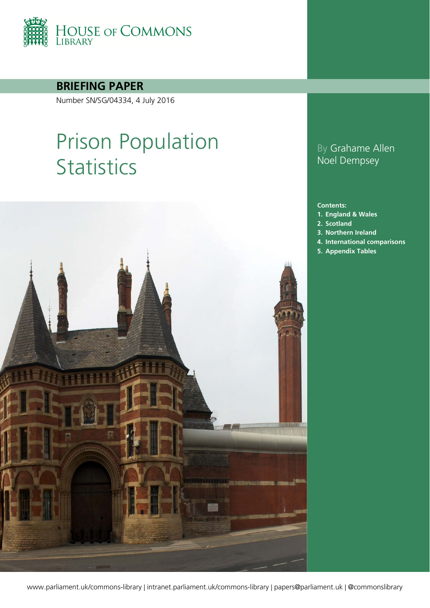

**BRIEFING PAPER**

Number SN/SG/04334, 4 July 2016

# Prison Population **Statistics**



### By Grahame Allen Noel Dempsey

#### **Contents:**

- **1. [England & Wales](#page-3-0)**
- **2. [Scotland](#page-17-0)**
- **3. [Northern Ireland](#page-22-0)**
- **4. [International comparisons](#page-23-0)**
- **5. [Appendix Tables](#page-24-0)**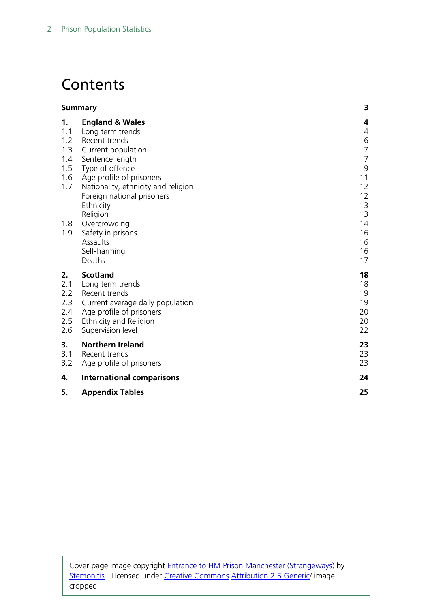# **Contents**

| <b>Summary</b>                                                                                                                                                         | 3                                                                       |
|------------------------------------------------------------------------------------------------------------------------------------------------------------------------|-------------------------------------------------------------------------|
| <b>England &amp; Wales</b><br>Long term trends<br>Recent trends                                                                                                        | 4<br>4<br>$\,$ 6 $\,$                                                   |
| Current population<br>Sentence length<br>Type of offence<br>Age profile of prisoners<br>Nationality, ethnicity and religion<br>Foreign national prisoners<br>Ethnicity | $\overline{7}$<br>$\overline{7}$<br>$\mathsf 9$<br>11<br>12<br>12<br>13 |
| Overcrowding<br>Safety in prisons<br>Assaults<br>Self-harming<br>Deaths                                                                                                | 13<br>14<br>16<br>16<br>16<br>17                                        |
| <b>Scotland</b><br>Long term trends<br>Recent trends<br>Current average daily population<br>Age profile of prisoners<br>Ethnicity and Religion<br>Supervision level    | 18<br>18<br>19<br>19<br>20<br>20<br>22                                  |
| <b>Northern Ireland</b><br>Recent trends<br>Age profile of prisoners                                                                                                   | 23<br>23<br>23                                                          |
| <b>International comparisons</b>                                                                                                                                       | 24                                                                      |
| <b>Appendix Tables</b>                                                                                                                                                 | 25                                                                      |
|                                                                                                                                                                        | Religion                                                                |

Cover page image copyright [Entrance to HM Prison Manchester \(Strangeways\)](https://commons.wikimedia.org/wiki/File:Strangeways_Prison.jpg) by [Stemonitis.](https://commons.wikimedia.org/wiki/User:Stemonitis) Licensed under [Creative Commons](https://en.wikipedia.org/wiki/en:Creative_Commons) [Attribution 2.5 Generic/](https://creativecommons.org/licenses/by/2.5/deed.en) image cropped.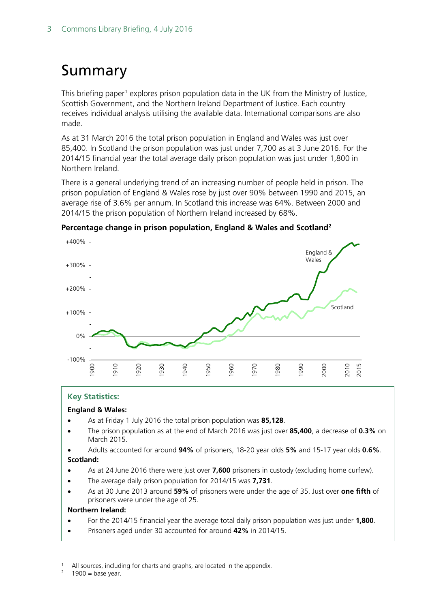# <span id="page-2-0"></span>Summary

This briefing paper<sup>[1](#page-2-1)</sup> explores prison population data in the UK from the Ministry of Justice, Scottish Government, and the Northern Ireland Department of Justice. Each country receives individual analysis utilising the available data. International comparisons are also made.

As at 31 March 2016 the total prison population in England and Wales was just over 85,400. In Scotland the prison population was just under 7,700 as at 3 June 2016. For the 2014/15 financial year the total average daily prison population was just under 1,800 in Northern Ireland.

There is a general underlying trend of an increasing number of people held in prison. The prison population of England & Wales rose by just over 90% between 1990 and 2015, an average rise of 3.6% per annum. In Scotland this increase was 64%. Between 2000 and 2014/15 the prison population of Northern Ireland increased by 68%.



**Percentage change in prison population, England & Wales and Scotland[2](#page-2-2)**

#### **Key Statistics:**

#### **England & Wales:**

- As at Friday 1 July 2016 the total prison population was **85,128**.
- The prison population as at the end of March 2016 was just over **85,400**, a decrease of **0.3%** on March 2015.
- Adults accounted for around **94%** of prisoners, 18-20 year olds **5%** and 15-17 year olds **0.6%**. **Scotland:**
- As at 24 June 2016 there were just over **7,600** prisoners in custody (excluding home curfew).
- The average daily prison population for 2014/15 was **7,731**.
- As at 30 June 2013 around **59%** of prisoners were under the age of 35. Just over **one fifth** of prisoners were under the age of 25.

#### **Northern Ireland:**

- For the 2014/15 financial year the average total daily prison population was just under **1,800**.
- Prisoners aged under 30 accounted for around **42%** in 2014/15.

<span id="page-2-1"></span><sup>&</sup>lt;sup>1</sup> All sources, including for charts and graphs, are located in the appendix.<br><sup>2</sup> 1900 – base vear

<span id="page-2-2"></span> $1900 =$  base year.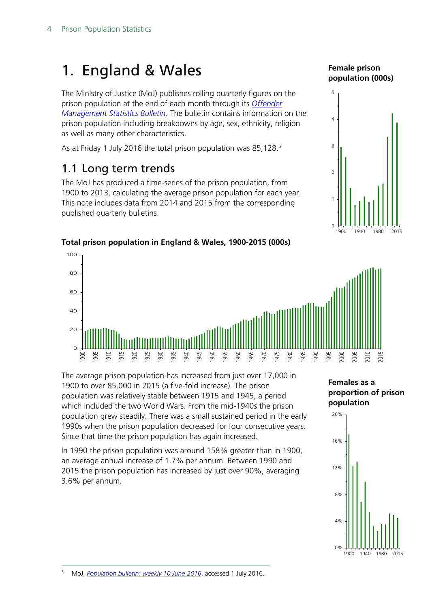# <span id="page-3-0"></span>1. England & Wales

The Ministry of Justice (MoJ) publishes rolling quarterly figures on the prison population at the end of each month through its *[Offender](https://www.gov.uk/government/collections/offender-management-statistics-quarterly)  [Management Statistics Bulletin](https://www.gov.uk/government/collections/offender-management-statistics-quarterly)*. The bulletin contains information on the prison population including breakdowns by age, sex, ethnicity, religion as well as many other characteristics.

As at Friday 1 July 2016 the total prison population was 85,128. [3](#page-3-2)

## <span id="page-3-1"></span>1.1 Long term trends

The MoJ has produced a time-series of the prison population, from 1900 to 2013, calculating the average prison population for each year. This note includes data from 2014 and 2015 from the corresponding published quarterly bulletins.

#### **Female prison population (000s)**



### **Total prison population in England & Wales, 1900-2015 (000s)**



The average prison population has increased from just over 17,000 in 1900 to over 85,000 in 2015 (a five-fold increase). The prison population was relatively stable between 1915 and 1945, a period which included the two World Wars. From the mid-1940s the prison population grew steadily. There was a small sustained period in the early 1990s when the prison population decreased for four consecutive years. Since that time the prison population has again increased.

In 1990 the prison population was around 158% greater than in 1900, an average annual increase of 1.7% per annum. Between 1990 and 2015 the prison population has increased by just over 90%, averaging 3.6% per annum.





<span id="page-3-2"></span>3 MoJ, *[Population bulletin: weekly 10 June 2016](https://www.gov.uk/government/statistics/prison-population-figures-2016)*, accessed 1 July 2016.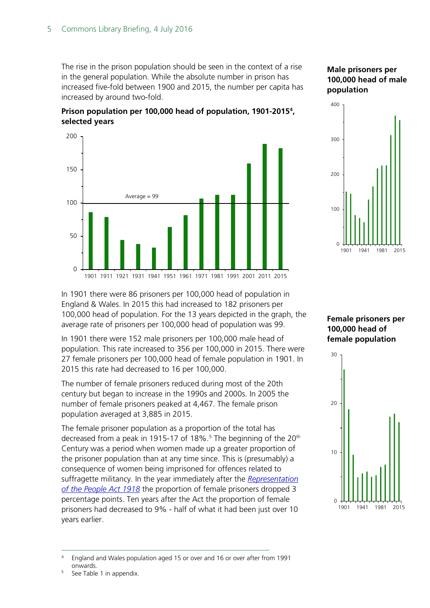The rise in the prison population should be seen in the context of a rise in the general population. While the absolute number in prison has increased five-fold between 1900 and 2015, the number per capita has increased by around two-fold.





#### **Male prisoners per 100,000 head of male population**



In 1901 there were 86 prisoners per 100,000 head of population in England & Wales. In 2015 this had increased to 182 prisoners per 100,000 head of population. For the 13 years depicted in the graph, the average rate of prisoners per 100,000 head of population was 99.

In 1901 there were 152 male prisoners per 100,000 male head of population. This rate increased to 356 per 100,000 in 2015. There were 27 female prisoners per 100,000 head of female population in 1901. In 2015 this rate had decreased to 16 per 100,000.

The number of female prisoners reduced during most of the 20th century but began to increase in the 1990s and 2000s. In 2005 the number of female prisoners peaked at 4,467. The female prison population averaged at 3,885 in 2015.

The female prisoner population as a proportion of the total has decreased from a peak in 191[5](#page-4-1)-17 of 18%.<sup>5</sup> The beginning of the 20<sup>th</sup> Century was a period when women made up a greater proportion of the prisoner population than at any time since. This is (presumably) a consequence of women being imprisoned for offences related to suffragette militancy. In the year immediately after the *[Representation](http://www.parliament.uk/about/living-heritage/transformingsociety/electionsvoting/womenvote/overview/thevote/)  [of the People Act 1918](http://www.parliament.uk/about/living-heritage/transformingsociety/electionsvoting/womenvote/overview/thevote/)* the proportion of female prisoners dropped 3 percentage points. Ten years after the Act the proportion of female prisoners had decreased to 9% - half of what it had been just over 10 years earlier.

**Female prisoners per 100,000 head of female population**



<span id="page-4-0"></span> <sup>4</sup> England and Wales population aged 15 or over and 16 or over after from 1991 onwards.

<span id="page-4-1"></span><sup>&</sup>lt;sup>5</sup> See Table 1 in appendix.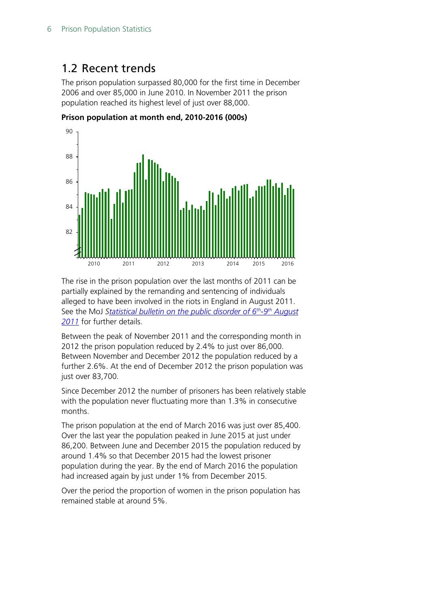## <span id="page-5-0"></span>1.2 Recent trends

The prison population surpassed 80,000 for the first time in December 2006 and over 85,000 in June 2010. In November 2011 the prison population reached its highest level of just over 88,000.



**Prison population at month end, 2010-2016 (000s)**

The rise in the prison population over the last months of 2011 can be partially explained by the remanding and sentencing of individuals alleged to have been involved in the riots in England in August 2011. See the MoJ *[Statistical bulletin on the public disorder of 6th-9th](https://www.gov.uk/government/statistics/statistical-bulletin-on-the-public-disorder-of-6th-9th-august-2011--2) August [2011](https://www.gov.uk/government/statistics/statistical-bulletin-on-the-public-disorder-of-6th-9th-august-2011--2)* for further details.

Between the peak of November 2011 and the corresponding month in 2012 the prison population reduced by 2.4% to just over 86,000. Between November and December 2012 the population reduced by a further 2.6%. At the end of December 2012 the prison population was just over 83,700.

Since December 2012 the number of prisoners has been relatively stable with the population never fluctuating more than 1.3% in consecutive months.

The prison population at the end of March 2016 was just over 85,400. Over the last year the population peaked in June 2015 at just under 86,200. Between June and December 2015 the population reduced by around 1.4% so that December 2015 had the lowest prisoner population during the year. By the end of March 2016 the population had increased again by just under 1% from December 2015.

Over the period the proportion of women in the prison population has remained stable at around 5%.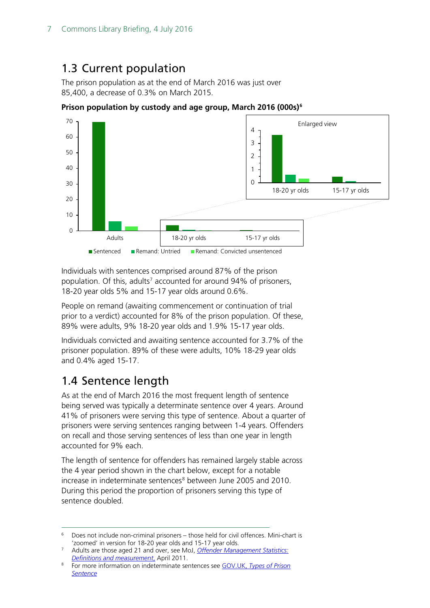## <span id="page-6-0"></span>1.3 Current population

The prison population as at the end of March 2016 was just over 85,400, a decrease of 0.3% on March 2015.



**Prison population by custody and age group, March 2016 (000s)[6](#page-6-2)**

Individuals with sentences comprised around 87% of the prison population. Of this, adults<sup>[7](#page-6-3)</sup> accounted for around 94% of prisoners, 18-20 year olds 5% and 15-17 year olds around 0.6%.

People on remand (awaiting commencement or continuation of trial prior to a verdict) accounted for 8% of the prison population. Of these, 89% were adults, 9% 18-20 year olds and 1.9% 15-17 year olds.

Individuals convicted and awaiting sentence accounted for 3.7% of the prisoner population. 89% of these were adults, 10% 18-29 year olds and 0.4% aged 15-17.

## <span id="page-6-1"></span>1.4 Sentence length

As at the end of March 2016 the most frequent length of sentence being served was typically a determinate sentence over 4 years. Around 41% of prisoners were serving this type of sentence. About a quarter of prisoners were serving sentences ranging between 1-4 years. Offenders on recall and those serving sentences of less than one year in length accounted for 9% each.

The length of sentence for offenders has remained largely stable across the 4 year period shown in the chart below, except for a notable increase in indeterminate sentences<sup>[8](#page-6-4)</sup> between June 2005 and 2010. During this period the proportion of prisoners serving this type of sentence doubled.

<span id="page-6-2"></span><sup>&</sup>lt;sup>6</sup> Does not include non-criminal prisoners – those held for civil offences. Mini-chart is 'zoomed' in version for 18-20 year olds and 15-17 year olds.

<span id="page-6-3"></span><sup>7</sup> Adults are those aged 21 and over, see MoJ, *[Offender Management Statistics:](https://www.gov.uk/government/uploads/system/uploads/attachment_data/file/218139/oms-definitions-measurement.pdf)  [Definitions and measurement](https://www.gov.uk/government/uploads/system/uploads/attachment_data/file/218139/oms-definitions-measurement.pdf)*, April 2011.

<span id="page-6-4"></span><sup>8</sup> For more information on indeterminate sentences see GOV.UK, *[Types of Prison](https://www.gov.uk/types-of-prison-sentence)  [Sentence](https://www.gov.uk/types-of-prison-sentence)*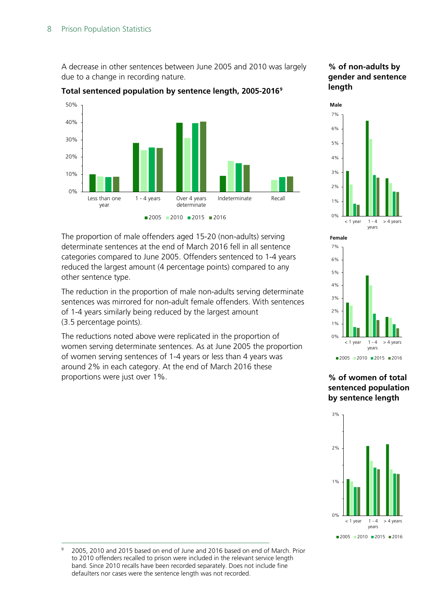A decrease in other sentences between June 2005 and 2010 was largely due to a change in recording nature.

#### 0% 10% 20% 30% 40% 50% Less than one year 1 - 4 years Over 4 years determinate Indeterminate Recall  $2005$  2010 2015 2016

#### **Total sentenced population by sentence length, 2005-2016[9](#page-7-0)**



6% 7%

**Male**

0% 1% 2% 3% 4% 5%  $< 1$  year 1 - 4 years > 4 years 0% 1% 2% 3% 4% 5% 6% 7%  $<$  1 year 1 - 4 years > 4 years **Female**

 $2005$  2010 2015 2016

**% of women of total sentenced population by sentence length**



The proportion of male offenders aged 15-20 (non-adults) serving determinate sentences at the end of March 2016 fell in all sentence categories compared to June 2005. Offenders sentenced to 1-4 years reduced the largest amount (4 percentage points) compared to any other sentence type.

The reduction in the proportion of male non-adults serving determinate sentences was mirrored for non-adult female offenders. With sentences of 1-4 years similarly being reduced by the largest amount (3.5 percentage points).

The reductions noted above were replicated in the proportion of women serving determinate sentences. As at June 2005 the proportion of women serving sentences of 1-4 years or less than 4 years was around 2% in each category. At the end of March 2016 these proportions were just over 1%.

<span id="page-7-0"></span> <sup>9</sup> 2005, 2010 and 2015 based on end of June and 2016 based on end of March. Prior to 2010 offenders recalled to prison were included in the relevant service length band. Since 2010 recalls have been recorded separately. Does not include fine defaulters nor cases were the sentence length was not recorded.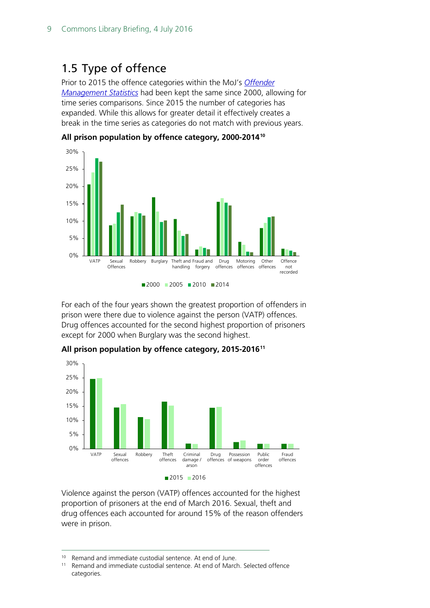## <span id="page-8-0"></span>1.5 Type of offence

Prior to 2015 the offence categories within the MoJ's *[Offender](https://www.gov.uk/government/collections/offender-management-statistics-quarterly) [Management Statistics](https://www.gov.uk/government/collections/offender-management-statistics-quarterly)* had been kept the same since 2000, allowing for time series comparisons. Since 2015 the number of categories has expanded. While this allows for greater detail it effectively creates a break in the time series as categories do not match with previous years.



**All prison population by offence category, 2000-2014[10](#page-8-1)**

For each of the four years shown the greatest proportion of offenders in prison were there due to violence against the person (VATP) offences. Drug offences accounted for the second highest proportion of prisoners except for 2000 when Burglary was the second highest.



**All prison population by offence category, 2015-2016[11](#page-8-2)**

Violence against the person (VATP) offences accounted for the highest proportion of prisoners at the end of March 2016. Sexual, theft and drug offences each accounted for around 15% of the reason offenders were in prison.

<span id="page-8-1"></span><sup>10</sup> Remand and immediate custodial sentence. At end of June.<br><sup>11</sup> Remand and immediate custodial sentence. At end of Marc

<span id="page-8-2"></span>Remand and immediate custodial sentence. At end of March. Selected offence categories.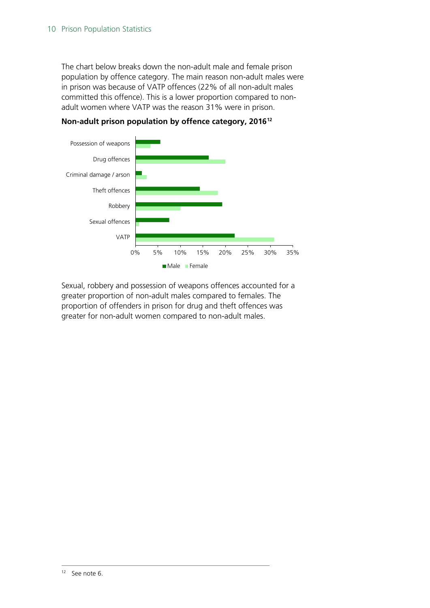The chart below breaks down the non-adult male and female prison population by offence category. The main reason non-adult males were in prison was because of VATP offences (22% of all non-adult males committed this offence). This is a lower proportion compared to nonadult women where VATP was the reason 31% were in prison.





<span id="page-9-0"></span>Sexual, robbery and possession of weapons offences accounted for a greater proportion of non-adult males compared to females. The proportion of offenders in prison for drug and theft offences was greater for non-adult women compared to non-adult males.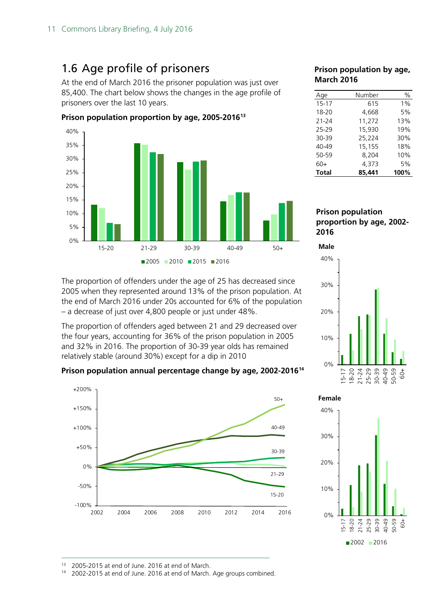# <span id="page-10-0"></span>1.6 Age profile of prisoners

At the end of March 2016 the prisoner population was just over 85,400. The chart below shows the changes in the age profile of prisoners over the last 10 years.



**Prison population proportion by age, 2005-2016[13](#page-10-1)**

#### The proportion of offenders under the age of 25 has decreased since 2005 when they represented around 13% of the prison population. At the end of March 2016 under 20s accounted for 6% of the population – a decrease of just over 4,800 people or just under 48%.

The proportion of offenders aged between 21 and 29 decreased over the four years, accounting for 36% of the prison population in 2005 and 32% in 2016. The proportion of 30-39 year olds has remained relatively stable (around 30%) except for a dip in 2010

#### **Prison population annual percentage change by age, 2002-2016[14](#page-10-2)**



#### **Prison population by age, March 2016**

| Age          | Number | $\%$ |
|--------------|--------|------|
| 15-17        | 615    | 1%   |
| 18-20        | 4,668  | 5%   |
| $21 - 24$    | 11,272 | 13%  |
| 25-29        | 15,930 | 19%  |
| 30-39        | 25,224 | 30%  |
| $40 - 49$    | 15,155 | 18%  |
| 50-59        | 8,204  | 10%  |
| $60+$        | 4.373  | 5%   |
| <b>Total</b> | 85,441 | 100% |

#### **Prison population proportion by age, 2002- 2016**





<span id="page-10-2"></span><span id="page-10-1"></span><sup>13</sup> 2005-2015 at end of June. 2016 at end of March.<br><sup>14</sup> 2002-2015 at end of June. 2016 at end of March.

2002-2015 at end of June. 2016 at end of March. Age groups combined.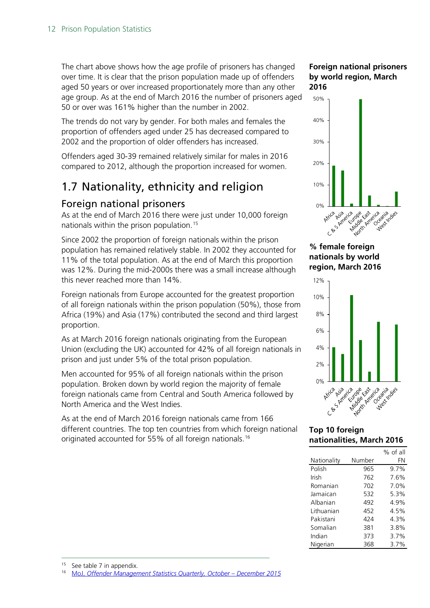The chart above shows how the age profile of prisoners has changed over time. It is clear that the prison population made up of offenders aged 50 years or over increased proportionately more than any other age group. As at the end of March 2016 the number of prisoners aged 50 or over was 161% higher than the number in 2002.

The trends do not vary by gender. For both males and females the proportion of offenders aged under 25 has decreased compared to 2002 and the proportion of older offenders has increased.

Offenders aged 30-39 remained relatively similar for males in 2016 compared to 2012, although the proportion increased for women.

# <span id="page-11-0"></span>1.7 Nationality, ethnicity and religion

### <span id="page-11-1"></span>Foreign national prisoners

As at the end of March 2016 there were just under 10,000 foreign nationals within the prison population.<sup>[15](#page-11-2)</sup>

Since 2002 the proportion of foreign nationals within the prison population has remained relatively stable. In 2002 they accounted for 11% of the total population. As at the end of March this proportion was 12%. During the mid-2000s there was a small increase although this never reached more than 14%.

Foreign nationals from Europe accounted for the greatest proportion of all foreign nationals within the prison population (50%), those from Africa (19%) and Asia (17%) contributed the second and third largest proportion.

As at March 2016 foreign nationals originating from the European Union (excluding the UK) accounted for 42% of all foreign nationals in prison and just under 5% of the total prison population.

Men accounted for 95% of all foreign nationals within the prison population. Broken down by world region the majority of female foreign nationals came from Central and South America followed by North America and the West Indies.

As at the end of March 2016 foreign nationals came from 166 different countries. The top ten countries from which foreign national originated accounted for 55% of all foreign nationals.<sup>[16](#page-11-3)</sup>

#### **Foreign national prisoners by world region, March 2016**



**% female foreign nationals by world region, March 2016**



**Top 10 foreign nationalities, March 2016**

|             |        | % of all |
|-------------|--------|----------|
| Nationality | Number | FN       |
| Polish      | 965    | $9.7\%$  |
| Irish       | 762    | 7.6%     |
| Romanian    | 702    | 7.0%     |
| Jamaican    | 532    | 5.3%     |
| Albanian    | 492    | 4.9%     |
| Lithuanian  | 452    | 4.5%     |
| Pakistani   | 424    | 4.3%     |
| Somalian    | 381    | 3.8%     |
| Indian      | 373    | 3.7%     |
| Nigerian    | 368    | $3.7\%$  |

<span id="page-11-3"></span><span id="page-11-2"></span><sup>15</sup> See table 7 in appendix.<br> $\frac{16}{16}$  Mol. Offender Manager

<sup>16</sup> MoJ, *[Offender Management Statistics Quarterly, October –](https://www.gov.uk/government/statistics/offender-management-statistics-quarterly-october-to-december-2015) December 2015*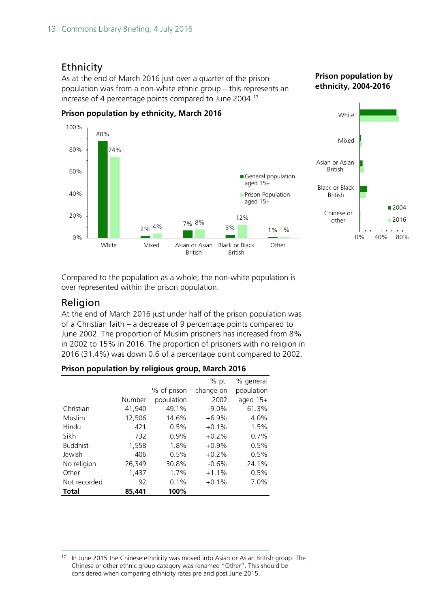### <span id="page-12-0"></span>**Ethnicity**

As at the end of March 2016 just over a quarter of the prison population was from a non-white ethnic group – this represents an increase of 4 percentage points compared to June 2004.<sup>[17](#page-12-2)</sup>





Compared to the population as a whole, the non-white population is over represented within the prison population.

### <span id="page-12-1"></span>Religion

At the end of March 2016 just under half of the prison population was of a Christian faith – a decrease of 9 percentage points compared to June 2002. The proportion of Muslim prisoners has increased from 8% in 2002 to 15% in 2016. The proportion of prisoners with no religion in 2016 (31.4%) was down 0.6 of a percentage point compared to 2002.

|                 |        |             | % pt.     | % general  |
|-----------------|--------|-------------|-----------|------------|
|                 |        | % of prison | change on | population |
|                 | Number | population  | 2002      | aged 15+   |
| Christian       | 41,940 | 49.1%       | $-9.0\%$  | 61.3%      |
| Muslim          | 12,506 | 14.6%       | $+6.9%$   | 4.0%       |
| Hindu           | 421    | 0.5%        | $+0.1%$   | 1.5%       |
| Sikh            | 732    | 0.9%        | $+0.2%$   | 0.7%       |
| <b>Buddhist</b> | 1,558  | 1.8%        | $+0.9%$   | 0.5%       |
| Jewish          | 406    | 0.5%        | $+0.2%$   | 0.5%       |
| No religion     | 26,349 | 30.8%       | $-0.6%$   | 24.1%      |
| Other           | 1,437  | 1.7%        | $+1.1%$   | 0.5%       |
| Not recorded    | 92     | $0.1\%$     | $+0.1%$   | 7.0%       |
| Total           | 85,441 | 100%        |           |            |

| Prison population by religious group, March 2016 |  |  |  |
|--------------------------------------------------|--|--|--|
|                                                  |  |  |  |

<span id="page-12-2"></span><sup>&</sup>lt;sup>17</sup> In June 2015 the Chinese ethnicity was moved into Asian or Asian British group. The Chinese or other ethnic group category was renamed "Other". This should be considered when comparing ethnicity rates pre and post June 2015.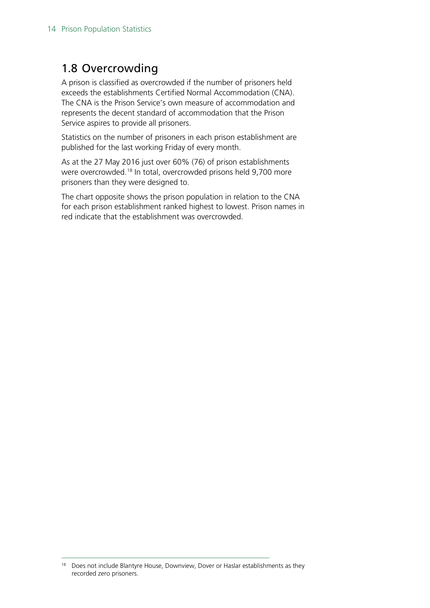### <span id="page-13-0"></span>1.8 Overcrowding

A prison is classified as overcrowded if the number of prisoners held exceeds the establishments Certified Normal Accommodation (CNA). The CNA is the Prison Service's own measure of accommodation and represents the decent standard of accommodation that the Prison Service aspires to provide all prisoners.

Statistics on the number of prisoners in each prison establishment are published for the last working Friday of every month.

As at the 27 May 2016 just over 60% (76) of prison establishments were overcrowded. [18](#page-13-1) In total, overcrowded prisons held 9,700 more prisoners than they were designed to.

The chart opposite shows the prison population in relation to the CNA for each prison establishment ranked highest to lowest. Prison names in red indicate that the establishment was overcrowded.

<span id="page-13-1"></span><sup>&</sup>lt;sup>18</sup> Does not include Blantyre House, Downview, Dover or Haslar establishments as they recorded zero prisoners.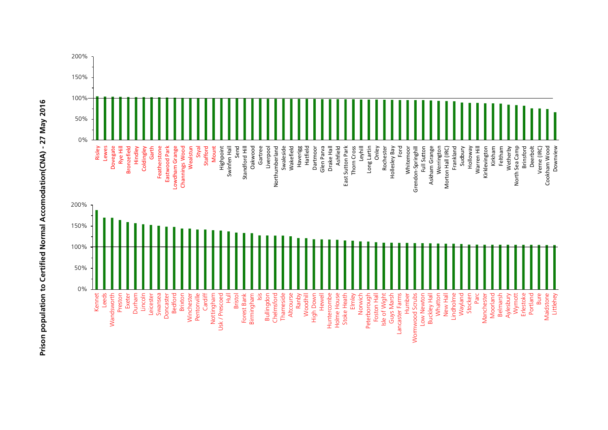

Prison population to Certified Normal Accomodation(CNA) - 27 May 2016 **Prison population to Certified Normal Accomodation(CNA) - 27 May 2016**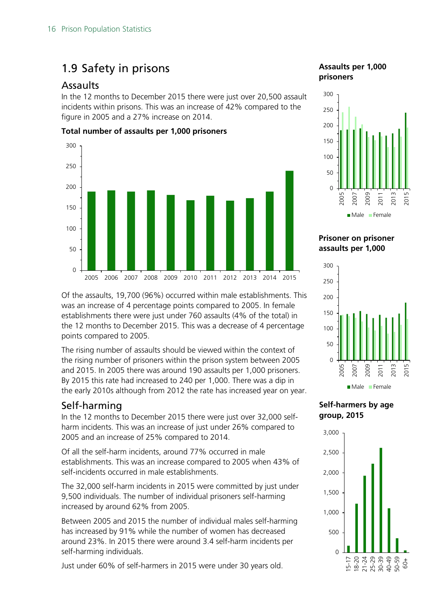# <span id="page-15-0"></span>1.9 Safety in prisons

### <span id="page-15-1"></span>Assaults

In the 12 months to December 2015 there were just over 20,500 assault incidents within prisons. This was an increase of 42% compared to the figure in 2005 and a 27% increase on 2014.

#### **Total number of assaults per 1,000 prisoners**



Of the assaults, 19,700 (96%) occurred within male establishments. This was an increase of 4 percentage points compared to 2005. In female establishments there were just under 760 assaults (4% of the total) in the 12 months to December 2015. This was a decrease of 4 percentage points compared to 2005.

The rising number of assaults should be viewed within the context of the rising number of prisoners within the prison system between 2005 and 2015. In 2005 there was around 190 assaults per 1,000 prisoners. By 2015 this rate had increased to 240 per 1,000. There was a dip in the early 2010s although from 2012 the rate has increased year on year.

### <span id="page-15-2"></span>Self-harming

In the 12 months to December 2015 there were just over 32,000 selfharm incidents. This was an increase of just under 26% compared to 2005 and an increase of 25% compared to 2014.

Of all the self-harm incidents, around 77% occurred in male establishments. This was an increase compared to 2005 when 43% of self-incidents occurred in male establishments.

The 32,000 self-harm incidents in 2015 were committed by just under 9,500 individuals. The number of individual prisoners self-harming increased by around 62% from 2005.

Between 2005 and 2015 the number of individual males self-harming has increased by 91% while the number of women has decreased around 23%. In 2015 there were around 3.4 self-harm incidents per self-harming individuals.

Just under 60% of self-harmers in 2015 were under 30 years old.

### **Assaults per 1,000 prisoners**



**Prisoner on prisoner assaults per 1,000**



**Self-harmers by age group, 2015**

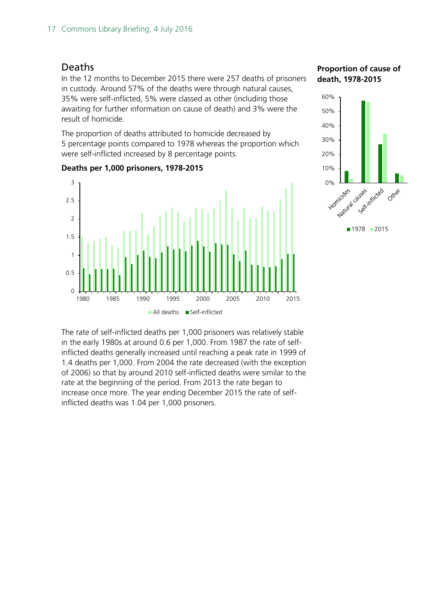#### <span id="page-16-0"></span>Deaths

In the 12 months to December 2015 there were 257 deaths of prisoners in custody. Around 57% of the deaths were through natural causes, 35% were self-inflicted, 5% were classed as other (including those awaiting for further information on cause of death) and 3% were the result of homicide.

The proportion of deaths attributed to homicide decreased by 5 percentage points compared to 1978 whereas the proportion which were self-inflicted increased by 8 percentage points.



#### **Deaths per 1,000 prisoners, 1978-2015**

**Proportion of cause of death, 1978-2015**



■1978 2015

The rate of self-inflicted deaths per 1,000 prisoners was relatively stable in the early 1980s at around 0.6 per 1,000. From 1987 the rate of selfinflicted deaths generally increased until reaching a peak rate in 1999 of 1.4 deaths per 1,000. From 2004 the rate decreased (with the exception of 2006) so that by around 2010 self-inflicted deaths were similar to the rate at the beginning of the period. From 2013 the rate began to increase once more. The year ending December 2015 the rate of selfinflicted deaths was 1.04 per 1,000 prisoners.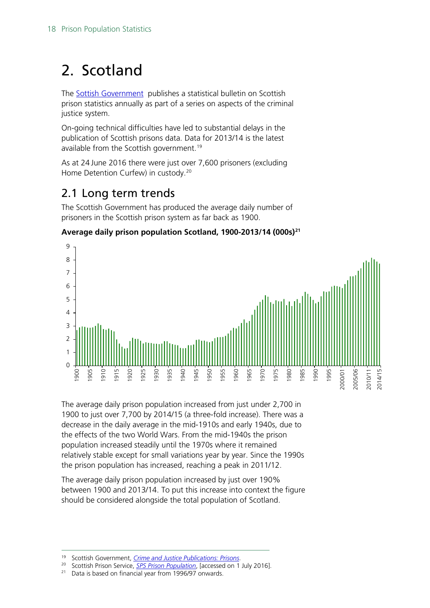# <span id="page-17-0"></span>2. Scotland

The [Sottish Government](http://www.gov.scot/Topics/Statistics/Browse/Crime-Justice/PubPrisons) publishes a statistical bulletin on Scottish prison statistics annually as part of a series on aspects of the criminal justice system.

On-going technical difficulties have led to substantial delays in the publication of Scottish prisons data. Data for 2013/14 is the latest available from the Scottish government.<sup>[19](#page-17-2)</sup>

As at 24 June 2016 there were just over 7,600 prisoners (excluding Home Detention Curfew) in custody. [20](#page-17-3)

# <span id="page-17-1"></span>2.1 Long term trends

The Scottish Government has produced the average daily number of prisoners in the Scottish prison system as far back as 1900.

### **Average daily prison population Scotland, 1900-2013/14 (000s)[21](#page-17-4)**



The average daily prison population increased from just under 2,700 in 1900 to just over 7,700 by 2014/15 (a three-fold increase). There was a decrease in the daily average in the mid-1910s and early 1940s, due to the effects of the two World Wars. From the mid-1940s the prison population increased steadily until the 1970s where it remained relatively stable except for small variations year by year. Since the 1990s the prison population has increased, reaching a peak in 2011/12.

The average daily prison population increased by just over 190% between 1900 and 2013/14. To put this increase into context the figure should be considered alongside the total population of Scotland.

<span id="page-17-3"></span><span id="page-17-2"></span><sup>20</sup> Scottish Prison Service, *SPS [Prison Population](http://www.sps.gov.uk/Corporate/Information/SPSPopulation.aspx)*, [accessed on 1 July 2016].

 <sup>19</sup> Scottish Government, *[Crime and Justice Publications: Prisons](http://www.gov.scot/Topics/Statistics/Browse/Crime-Justice/PubPrisons)*.

<span id="page-17-4"></span><sup>&</sup>lt;sup>21</sup> Data is based on financial year from 1996/97 onwards.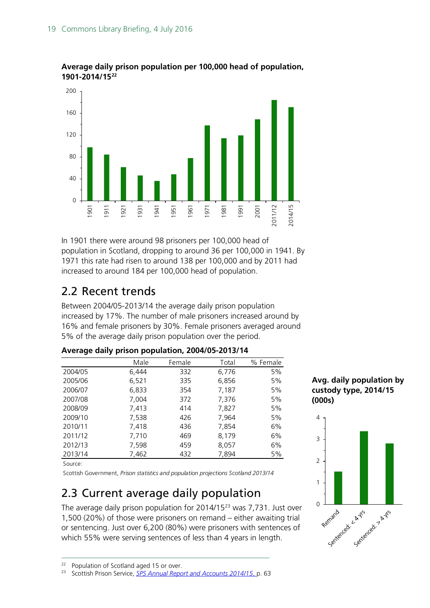

#### **Average daily prison population per 100,000 head of population, 1901-2014/15[22](#page-18-2)**

In 1901 there were around 98 prisoners per 100,000 head of population in Scotland, dropping to around 36 per 100,000 in 1941. By 1971 this rate had risen to around 138 per 100,000 and by 2011 had increased to around 184 per 100,000 head of population.

# <span id="page-18-0"></span>2.2 Recent trends

Between 2004/05-2013/14 the average daily prison population increased by 17%. The number of male prisoners increased around by 16% and female prisoners by 30%. Female prisoners averaged around 5% of the average daily prison population over the period.

|         | Male  | Female | Total | % Female |
|---------|-------|--------|-------|----------|
| 2004/05 | 6,444 | 332    | 6,776 | 5%       |
| 2005/06 | 6,521 | 335    | 6,856 | 5%       |
| 2006/07 | 6,833 | 354    | 7,187 | 5%       |
| 2007/08 | 7,004 | 372    | 7,376 | 5%       |
| 2008/09 | 7,413 | 414    | 7,827 | 5%       |
| 2009/10 | 7,538 | 426    | 7,964 | 5%       |
| 2010/11 | 7,418 | 436    | 7,854 | 6%       |
| 2011/12 | 7,710 | 469    | 8,179 | 6%       |
| 2012/13 | 7,598 | 459    | 8,057 | 6%       |
| 2013/14 | 7,462 | 432    | 7.894 | 5%       |

#### **Average daily prison population, 2004/05-2013/14**

Source:

Scottish Government, *Prison statistics and population projections Scotland 2013/14*

# <span id="page-18-1"></span>2.3 Current average daily population

The average daily prison population for 2014/15[23](#page-18-3) was 7,731. Just over 1,500 (20%) of those were prisoners on remand – either awaiting trial or sentencing. Just over 6,200 (80%) were prisoners with sentences of which 55% were serving sentences of less than 4 years in length.

**Avg. daily population by custody type, 2014/15 (000s)**



<span id="page-18-2"></span><sup>&</sup>lt;sup>22</sup> Population of Scotland aged 15 or over.<br><sup>23</sup> Scottish Prison Service, SPS Annual Repo

<span id="page-18-3"></span><sup>23</sup> Scottish Prison Service, *[SPS Annual Report and Accounts 2014/15](http://www.sps.gov.uk/Corporate/Publications/Publication-3360.aspx)*, p. 63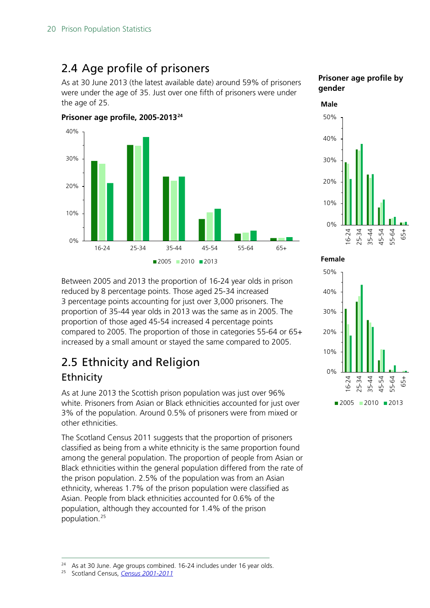# <span id="page-19-0"></span>2.4 Age profile of prisoners

As at 30 June 2013 (the latest available date) around 59% of prisoners were under the age of 35. Just over one fifth of prisoners were under the age of 25.



#### **Prisoner age profile by gender**



Between 2005 and 2013 the proportion of 16-24 year olds in prison reduced by 8 percentage points. Those aged 25-34 increased 3 percentage points accounting for just over 3,000 prisoners. The proportion of 35-44 year olds in 2013 was the same as in 2005. The proportion of those aged 45-54 increased 4 percentage points compared to 2005. The proportion of those in categories 55-64 or 65+ increased by a small amount or stayed the same compared to 2005.

# <span id="page-19-1"></span>2.5 Ethnicity and Religion

### **Ethnicity**

As at June 2013 the Scottish prison population was just over 96% white. Prisoners from Asian or Black ethnicities accounted for just over 3% of the population. Around 0.5% of prisoners were from mixed or other ethnicities.

The Scotland Census 2011 suggests that the proportion of prisoners classified as being from a white ethnicity is the same proportion found among the general population. The proportion of people from Asian or Black ethnicities within the general population differed from the rate of the prison population. 2.5% of the population was from an Asian ethnicity, whereas 1.7% of the prison population were classified as Asian. People from black ethnicities accounted for 0.6% of the population, although they accounted for 1.4% of the prison population.[25](#page-19-3)



<span id="page-19-3"></span><span id="page-19-2"></span><sup>&</sup>lt;sup>24</sup> As at 30 June. Age groups combined. 16-24 includes under 16 year olds.<br><sup>25</sup> Scotland Census *Census* 2001-2011

<sup>25</sup> Scotland Census, *[Census 2001-2011](http://www.scotlandscensus.gov.uk/)*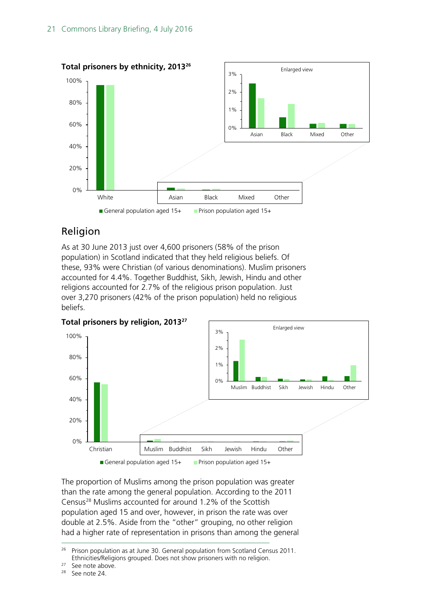

### Religion

As at 30 June 2013 just over 4,600 prisoners (58% of the prison population) in Scotland indicated that they held religious beliefs. Of these, 93% were Christian (of various denominations). Muslim prisoners accounted for 4.4%. Together Buddhist, Sikh, Jewish, Hindu and other religions accounted for 2.7% of the religious prison population. Just over 3,270 prisoners (42% of the prison population) held no religious beliefs.



The proportion of Muslims among the prison population was greater than the rate among the general population. According to the 2011 Census[28](#page-20-2) Muslims accounted for around 1.2% of the Scottish population aged 15 and over, however, in prison the rate was over double at 2.5%. Aside from the "other" grouping, no other religion had a higher rate of representation in prisons than among the general

<span id="page-20-0"></span><sup>&</sup>lt;sup>26</sup> Prison population as at June 30. General population from Scotland Census 2011. Ethnicities/Religions grouped. Does not show prisoners with no religion.

<span id="page-20-1"></span> $27$  See note above.<br> $28$  See note 24

<span id="page-20-2"></span>See note 24.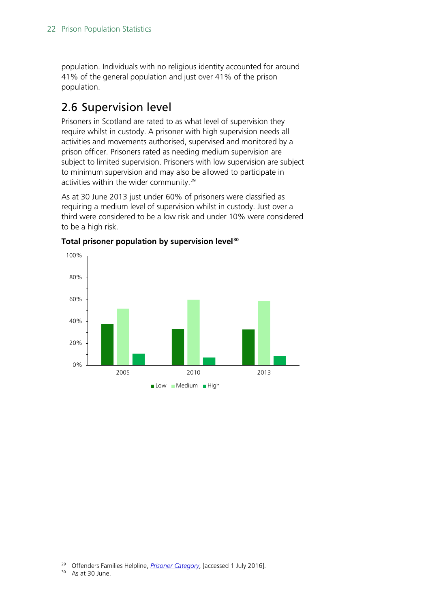population. Individuals with no religious identity accounted for around 41% of the general population and just over 41% of the prison population.

# <span id="page-21-0"></span>2.6 Supervision level

Prisoners in Scotland are rated to as what level of supervision they require whilst in custody. A prisoner with high supervision needs all activities and movements authorised, supervised and monitored by a prison officer. Prisoners rated as needing medium supervision are subject to limited supervision. Prisoners with low supervision are subject to minimum supervision and may also be allowed to participate in activities within the wider community.<sup>[29](#page-21-1)</sup>

As at 30 June 2013 just under 60% of prisoners were classified as requiring a medium level of supervision whilst in custody. Just over a third were considered to be a low risk and under 10% were considered to be a high risk.



#### **Total prisoner population by supervision level[30](#page-21-2)**

<span id="page-21-2"></span><span id="page-21-1"></span> <sup>29</sup> Offenders Families Helpline, *[Prisoner Category](http://www.offendersfamilieshelpline.org/index.php/prisoner-category/)*, [accessed 1 July 2016].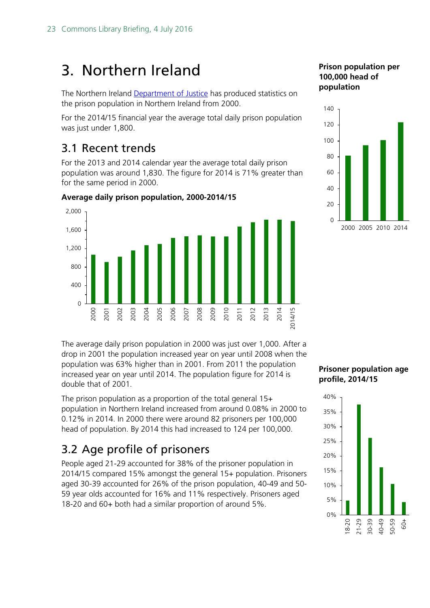# <span id="page-22-0"></span>3. Northern Ireland

The Northern Ireland [Department of Justice](https://www.justice-ni.gov.uk/articles/prison-population) has produced statistics on the prison population in Northern Ireland from 2000.

For the 2014/15 financial year the average total daily prison population was just under 1,800.

## <span id="page-22-1"></span>3.1 Recent trends

For the 2013 and 2014 calendar year the average total daily prison population was around 1,830. The figure for 2014 is 71% greater than for the same period in 2000.



**Average daily prison population, 2000-2014/15**

#### The average daily prison population in 2000 was just over 1,000. After a drop in 2001 the population increased year on year until 2008 when the population was 63% higher than in 2001. From 2011 the population increased year on year until 2014. The population figure for 2014 is double that of 2001.

The prison population as a proportion of the total general 15+ population in Northern Ireland increased from around 0.08% in 2000 to 0.12% in 2014. In 2000 there were around 82 prisoners per 100,000 head of population. By 2014 this had increased to 124 per 100,000.

# <span id="page-22-2"></span>3.2 Age profile of prisoners

People aged 21-29 accounted for 38% of the prisoner population in 2014/15 compared 15% amongst the general 15+ population. Prisoners aged 30-39 accounted for 26% of the prison population, 40-49 and 50- 59 year olds accounted for 16% and 11% respectively. Prisoners aged 18-20 and 60+ both had a similar proportion of around 5%.

### **Prison population per 100,000 head of population**



#### **Prisoner population age profile, 2014/15**

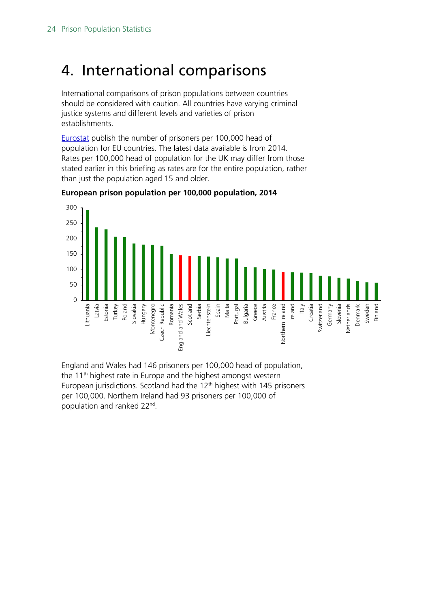# <span id="page-23-0"></span>4. International comparisons

International comparisons of prison populations between countries should be considered with caution. All countries have varying criminal justice systems and different levels and varieties of prison establishments.

[Eurostat](http://ec.europa.eu/eurostat/web/products-datasets/-/crim_pris_cap) publish the number of prisoners per 100,000 head of population for EU countries. The latest data available is from 2014. Rates per 100,000 head of population for the UK may differ from those stated earlier in this briefing as rates are for the entire population, rather than just the population aged 15 and older.



**European prison population per 100,000 population, 2014**

England and Wales had 146 prisoners per 100,000 head of population, the  $11<sup>th</sup>$  highest rate in Europe and the highest amongst western European jurisdictions. Scotland had the 12<sup>th</sup> highest with 145 prisoners per 100,000. Northern Ireland had 93 prisoners per 100,000 of population and ranked 22nd.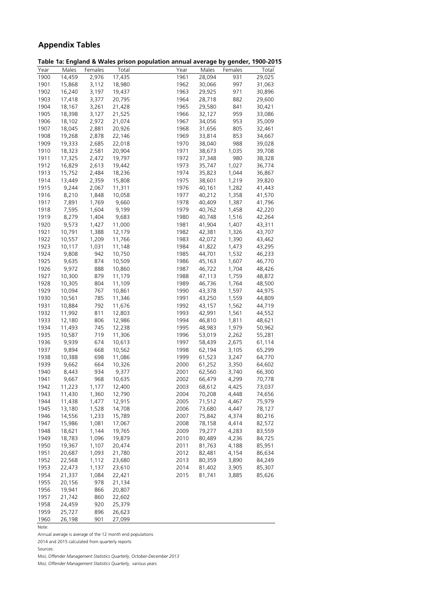### **Appendix Tables**

<span id="page-24-0"></span>

|              |                  |                |        | Table 1a: England & Wales prison population annual average by gender, 1900-2015 |                  |         |        |
|--------------|------------------|----------------|--------|---------------------------------------------------------------------------------|------------------|---------|--------|
| Year         | Males            | Females        | Total  | $\overline{Y}$ ear                                                              | Males            | Females | Total  |
| 1900         | 14,459           | 2,976          | 17,435 | 1961                                                                            | 28,094           | 931     | 29,025 |
| 1901         | 15,868           | 3,112          | 18,980 | 1962                                                                            | 30,066           | 997     | 31,063 |
| 1902         | 16,240           | 3,197          | 19,437 | 1963                                                                            | 29,925           | 971     | 30,896 |
| 1903         | 17,418           | 3,377          | 20,795 | 1964                                                                            | 28,718           | 882     | 29,600 |
| 1904         | 18,167           | 3,261          | 21,428 | 1965                                                                            | 29,580           | 841     | 30,421 |
| 1905         | 18,398           | 3,127          | 21,525 | 1966                                                                            | 32,127           | 959     | 33,086 |
| 1906         | 18,102           | 2,972          | 21,074 | 1967                                                                            | 34,056           | 953     | 35,009 |
| 1907         | 18,045           | 2,881          | 20,926 | 1968                                                                            | 31,656           | 805     | 32,461 |
| 1908         | 19,268           | 2,878          | 22,146 | 1969                                                                            | 33,814           | 853     | 34,667 |
| 1909         | 19,333           | 2,685          | 22,018 | 1970                                                                            | 38,040           | 988     | 39,028 |
| 1910         | 18,323           | 2,581          | 20,904 | 1971                                                                            | 38,673           | 1,035   | 39,708 |
| 1911         | 17,325           | 2,472          | 19,797 | 1972                                                                            | 37,348           | 980     | 38,328 |
| 1912         | 16,829           | 2,613          | 19,442 | 1973                                                                            | 35,747           | 1,027   | 36,774 |
| 1913         | 15,752           | 2,484          | 18,236 | 1974                                                                            | 35,823           | 1,044   | 36,867 |
| 1914         | 13,449           | 2,359          | 15,808 | 1975                                                                            | 38,601           | 1,219   | 39,820 |
| 1915         | 9,244            | 2,067          | 11,311 | 1976                                                                            | 40,161           | 1,282   | 41,443 |
| 1916         | 8,210            | 1,848          | 10,058 | 1977                                                                            | 40,212           | 1,358   | 41,570 |
| 1917         | 7,891            | 1,769          | 9,660  | 1978                                                                            | 40,409           | 1,387   | 41,796 |
| 1918         | 7,595            | 1,604          | 9,199  | 1979                                                                            | 40,762           | 1,458   | 42,220 |
| 1919         | 8,279            | 1,404          | 9,683  | 1980                                                                            | 40,748           | 1,516   | 42,264 |
| 1920         | 9,573            | 1,427          | 11,000 | 1981                                                                            | 41,904           | 1,407   | 43,311 |
| 1921         | 10,791           | 1,388          | 12,179 | 1982                                                                            | 42,381           | 1,326   | 43,707 |
| 1922         | 10,557           | 1,209          | 11,766 | 1983                                                                            | 42,072           | 1,390   | 43,462 |
| 1923         | 10,117           | 1,031          | 11,148 | 1984                                                                            | 41,822           | 1,473   | 43,295 |
| 1924         | 9,808            | 942            | 10,750 | 1985                                                                            | 44,701           | 1,532   | 46,233 |
| 1925         | 9,635            | 874            | 10,509 | 1986                                                                            | 45,163           | 1,607   | 46,770 |
| 1926         | 9,972            | 888            | 10,860 | 1987                                                                            | 46,722           | 1,704   | 48,426 |
| 1927         | 10,300           | 879            | 11,179 | 1988                                                                            | 47,113           | 1,759   | 48,872 |
| 1928         | 10,305           | 804            | 11,109 | 1989                                                                            | 46,736           | 1,764   | 48,500 |
| 1929         | 10,094           | 767            | 10,861 | 1990                                                                            | 43,378           | 1,597   | 44,975 |
| 1930         | 10,561           | 785            | 11,346 | 1991                                                                            | 43,250           | 1,559   | 44,809 |
| 1931         | 10,884           | 792            | 11,676 | 1992                                                                            | 43,157           | 1,562   | 44,719 |
| 1932         | 11,992           | 811            | 12,803 | 1993                                                                            | 42,991           | 1,561   | 44,552 |
| 1933         | 12,180           | 806            | 12,986 | 1994                                                                            | 46,810           | 1,811   | 48,621 |
| 1934         | 11,493           | 745            | 12,238 | 1995                                                                            | 48,983           | 1,979   | 50,962 |
| 1935         | 10,587           | 719            | 11,306 | 1996                                                                            | 53,019           | 2,262   | 55,281 |
| 1936         | 9,939            | 674            | 10,613 | 1997                                                                            | 58,439           | 2,675   | 61,114 |
| 1937         | 9,894            | 668            | 10,562 | 1998                                                                            | 62,194           | 3,105   | 65,299 |
| 1938         | 10,388           | 698            | 11,086 | 1999                                                                            | 61,523           | 3,247   | 64,770 |
| 1939         | 9,662            | 664            | 10,326 | 2000                                                                            | 61,252           | 3,350   | 64,602 |
| 1940         | 8,443            | 934            | 9,377  | 2001                                                                            | 62,560           | 3,740   | 66,300 |
| 1941         | 9,667            | 968            | 10,635 | 2002                                                                            | 66,479           | 4,299   | 70,778 |
| 1942         | 11,223           | 1,177          | 12,400 | 2003                                                                            | 68,612           | 4,425   | 73,037 |
| 1943         | 11,430           | 1,360          | 12,790 | 2004                                                                            | 70,208           | 4,448   | 74,656 |
| 1944         | 11,438           | 1,477          | 12,915 | 2005                                                                            | 71,512           | 4,467   | 75,979 |
| 1945         | 13,180           | 1,528          | 14,708 | 2006                                                                            | 73,680           | 4,447   | 78,127 |
| 1946         | 14,556           | 1,233          | 15,789 | 2007                                                                            | 75,842           | 4,374   | 80,216 |
| 1947         | 15,986           | 1,081          | 17,067 | 2008                                                                            | 78,158           | 4,414   | 82,572 |
| 1948         | 18,621           | 1,144          | 19,765 | 2009                                                                            | 79,277           | 4,283   | 83,559 |
| 1949         | 18,783           | 1,096          | 19,879 | 2010                                                                            | 80,489           | 4,236   | 84,725 |
| 1950         | 19,367           | 1,107          | 20,474 | 2011                                                                            | 81,763           | 4,188   | 85,951 |
|              |                  |                | 21,780 |                                                                                 |                  | 4,154   | 86,634 |
| 1951<br>1952 | 20,687<br>22,568 | 1,093<br>1,112 | 23,680 | 2012<br>2013                                                                    | 82,481<br>80,359 | 3,890   |        |
|              |                  |                |        |                                                                                 |                  |         | 84,249 |
| 1953         | 22,473           | 1,137          | 23,610 | 2014                                                                            | 81,402           | 3,905   | 85,307 |
| 1954         | 21,337           | 1,084          | 22,421 | 2015                                                                            | 81,741           | 3,885   | 85,626 |
| 1955         | 20,156           | 978            | 21,134 |                                                                                 |                  |         |        |
| 1956         | 19,941           | 866            | 20,807 |                                                                                 |                  |         |        |
| 1957         | 21,742           | 860            | 22,602 |                                                                                 |                  |         |        |
| 1958         | 24,459           | 920            | 25,379 |                                                                                 |                  |         |        |
| 1959         | 25,727           | 896            | 26,623 |                                                                                 |                  |         |        |
| 1960         | 26,198           | 901            | 27,099 |                                                                                 |                  |         |        |

Note:

Annual average is average of the 12 month end populations

2014 and 2015 calculated from quarterly reports

Sources:

MoJ, *Offender Management Statistics Quarterly, October-December 2013*

MoJ, *Offender Management Statistics Quarterly,* various years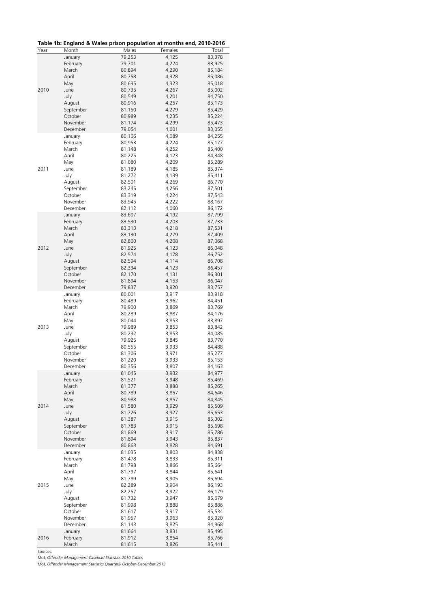|  |  | Table 1b: England & Wales prison population at months end, 2010-2016 |
|--|--|----------------------------------------------------------------------|
|--|--|----------------------------------------------------------------------|

| Year | Month               | Males            | Females        | Total            |
|------|---------------------|------------------|----------------|------------------|
|      | January             | 79,253           | 4,125          | 83,378           |
|      | February            | 79,701           | 4,224          | 83,925           |
|      | March               | 80,894           | 4,290          | 85,184           |
|      | April               | 80,758           | 4,328          | 85,086           |
|      | May                 | 80,695           | 4,323          | 85,018           |
| 2010 | June                | 80,735           | 4,267          | 85,002           |
|      | July                | 80,549           | 4,201          | 84,750           |
|      | August              | 80,916           | 4,257          | 85,173           |
|      | September           | 81,150           | 4,279          | 85,429           |
|      | October             | 80,989           | 4,235          | 85,224           |
|      | November            | 81,174           | 4,299          | 85,473           |
|      | December            | 79,054           | 4,001          | 83,055           |
|      | January             | 80,166           | 4,089          | 84,255           |
|      | February            | 80,953           | 4,224          | 85,177           |
|      | March               | 81,148           | 4,252          | 85,400           |
|      | April               | 80,225           | 4,123          | 84,348           |
|      | May                 | 81,080           | 4,209          | 85,289           |
| 2011 | June                | 81,189           | 4,185          | 85,374           |
|      | July                | 81,272           | 4,139          | 85,411           |
|      | August<br>September | 82,501<br>83,245 | 4,269<br>4,256 | 86,770<br>87,501 |
|      | October             | 83,319           | 4,224          | 87,543           |
|      | November            | 83,945           | 4,222          | 88,167           |
|      | December            | 82,112           | 4,060          | 86,172           |
|      | January             | 83,607           | 4,192          | 87,799           |
|      | February            | 83,530           | 4,203          | 87,733           |
|      | March               | 83,313           | 4,218          | 87,531           |
|      | April               | 83,130           | 4,279          | 87,409           |
|      | May                 | 82,860           | 4,208          | 87,068           |
| 2012 | June                | 81,925           | 4,123          | 86,048           |
|      | July                | 82,574           | 4,178          | 86,752           |
|      | August              | 82,594           | 4,114          | 86,708           |
|      | September           | 82,334           | 4,123          | 86,457           |
|      | October             | 82,170           | 4,131          | 86,301           |
|      | November            | 81,894           | 4,153          | 86,047           |
|      | December            | 79,837           | 3,920          | 83,757           |
|      | January             | 80,001           | 3,917          | 83,918           |
|      | February            | 80,489           | 3,962          | 84,451           |
|      | March               | 79,900           | 3,869          | 83,769           |
|      | April               | 80,289           | 3,887          | 84,176           |
|      | May                 | 80,044           | 3,853          | 83,897           |
| 2013 | June                | 79,989           | 3,853          | 83,842           |
|      | July                | 80,232           | 3,853          | 84,085           |
|      | August<br>September | 79,925<br>80,555 | 3,845<br>3,933 | 83,770           |
|      | October             | 81,306           | 3,971          | 84,488<br>85,277 |
|      | November            | 81,220           | 3,933          | 85,153           |
|      | December            | 80,356           | 3,807          | 84,163           |
|      | January             | 81,045           | 3,932          | 84,977           |
|      | February            | 81,521           | 3,948          | 85,469           |
|      | March               | 81,377           | 3,888          | 85,265           |
|      | April               | 80,789           | 3,857          | 84,646           |
|      | May                 | 80,988           | 3,857          | 84,845           |
| 2014 | June                | 81,580           | 3,929          | 85,509           |
|      | July                | 81,726           | 3,927          | 85,653           |
|      | August              | 81,387           | 3,915          | 85,302           |
|      | September           | 81,783           | 3,915          | 85,698           |
|      | October             | 81,869           | 3,917          | 85,786           |
|      | November            | 81,894           | 3,943          | 85,837           |
|      | December            | 80,863           | 3,828          | 84,691           |
|      | January             | 81,035           | 3,803          | 84,838           |
|      | February            | 81,478           | 3,833          | 85,311           |
|      | March               | 81,798           | 3,866          | 85,664           |
|      | April               | 81,797           | 3,844          | 85,641           |
|      | May                 | 81,789           | 3,905          | 85,694           |
| 2015 | June                | 82,289           | 3,904          | 86,193           |
|      | July                | 82,257           | 3,922          | 86,179           |
|      | August<br>September | 81,732<br>81,998 | 3,947<br>3,888 | 85,679<br>85,886 |
|      | October             | 81,617           | 3,917          | 85,534           |
|      | November            | 81,957           | 3,963          | 85,920           |
|      | December            | 81,143           | 3,825          | 84,968           |
|      | January             | 81,664           | 3,831          | 85,495           |
| 2016 | February            | 81,912           | 3,854          | 85,766           |
|      | March               | 81,615           | 3,826          | 85,441           |

Sources:

MoJ, *Offender Management Caseload Statistics 2010 Tables*

MoJ, *Offender Management Statistics Quarterly October-December 2013*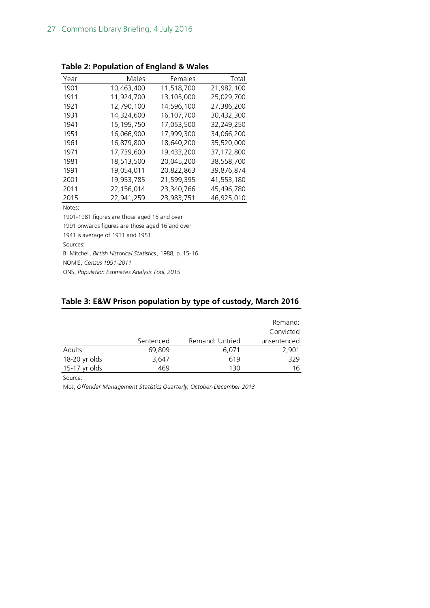| Year | Males        | Females    | Total      |
|------|--------------|------------|------------|
| 1901 | 10,463,400   | 11,518,700 | 21,982,100 |
| 1911 | 11.924.700   | 13,105,000 | 25,029,700 |
| 1921 | 12,790,100   | 14,596,100 | 27,386,200 |
| 1931 | 14,324,600   | 16.107.700 | 30.432.300 |
| 1941 | 15, 195, 750 | 17,053,500 | 32,249,250 |
| 1951 | 16.066.900   | 17.999.300 | 34.066.200 |
| 1961 | 16.879.800   | 18,640,200 | 35,520,000 |
| 1971 | 17,739,600   | 19,433,200 | 37,172,800 |
| 1981 | 18,513,500   | 20,045,200 | 38,558,700 |
| 1991 | 19,054,011   | 20,822,863 | 39,876,874 |
| 2001 | 19,953,785   | 21,599,395 | 41,553,180 |
| 2011 | 22,156,014   | 23,340,766 | 45,496,780 |
| 2015 | 22,941,259   | 23,983,751 | 46,925,010 |

**Table 2: Population of England & Wales**

Notes:

1901-1981 figures are those aged 15 and over

1991 onwards figures are those aged 16 and over

1941 is average of 1931 and 1951

Sources:

B. Mitchell, *Birtish Historical Statistics*, 1988, p. 15-16.

NOMIS, *Census 1991-2011*

ONS, *Population Estimates Analysis Tool, 2015*

#### **Table 3: E&W Prison population by type of custody, March 2016**

|               |           |                 | Remand:<br>Convicted |
|---------------|-----------|-----------------|----------------------|
|               | Sentenced | Remand: Untried | unsentenced          |
| Adults        | 69,809    | 6,071           | 2,901                |
| 18-20 yr olds | 3,647     | 619             | 329                  |
| 15-17 yr olds | 469       | 130             | 16                   |

Source:

MoJ, *Offender Management Statistics Quarterly, October-December 2013*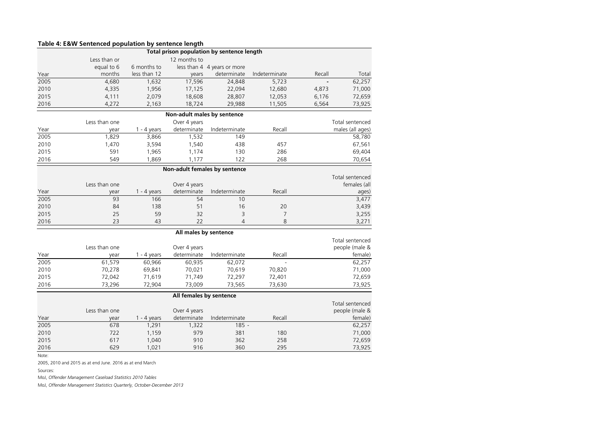|      |               |               |                               | Total prison population by sentence length |                |        |                  |
|------|---------------|---------------|-------------------------------|--------------------------------------------|----------------|--------|------------------|
|      | Less than or  |               | 12 months to                  |                                            |                |        |                  |
|      | equal to 6    | 6 months to   |                               | less than 4 4 years or more                |                |        |                  |
| Year | months        | less than 12  | years                         | determinate                                | Indeterminate  | Recall | Total            |
| 2005 | 4,680         | 1,632         | 17,596                        | 24,848                                     | 5,723          |        | 62,257           |
| 2010 | 4,335         | 1,956         | 17,125                        | 22,094                                     | 12,680         | 4,873  | 71,000           |
| 2015 | 4,111         | 2,079         | 18,608                        | 28,807                                     | 12,053         | 6,176  | 72,659           |
| 2016 | 4,272         | 2,163         | 18,724                        | 29,988                                     | 11,505         | 6,564  | 73,925           |
|      |               |               | Non-adult males by sentence   |                                            |                |        |                  |
|      | Less than one |               | Over 4 years                  |                                            |                |        | Total sentenced  |
| Year | year          | $1 - 4$ years | determinate                   | Indeterminate                              | Recall         |        | males (all ages) |
| 2005 | 1,829         | 3,866         | 1,532                         | 149                                        |                |        | 58,780           |
| 2010 | 1,470         | 3,594         | 1,540                         | 438                                        | 457            |        | 67,561           |
| 2015 | 591           | 1,965         | 1,174                         | 130                                        | 286            |        | 69,404           |
| 2016 | 549           | 1,869         | 1,177                         | 122                                        | 268            |        | 70,654           |
|      |               |               | Non-adult females by sentence |                                            |                |        |                  |
|      |               |               |                               |                                            |                |        | Total sentenced  |
|      | Less than one |               | Over 4 years                  |                                            |                |        | females (all     |
| Year | year          | $1 - 4$ years | determinate                   | Indeterminate                              | Recall         |        | ages)            |
| 2005 | 93            | 166           | 54                            | 10                                         |                |        | 3,477            |
| 2010 | 84            | 138           | 51                            | 16                                         | 20             |        | 3,439            |
| 2015 | 25            | 59            | 32                            | 3                                          | $\overline{7}$ |        | 3,255            |
| 2016 | 23            | 43            | 22                            | $\overline{4}$                             | 8              |        | 3,271            |
|      |               |               | All males by sentence         |                                            |                |        |                  |
|      |               |               |                               |                                            |                |        | Total sentenced  |
|      | Less than one |               | Over 4 years                  |                                            |                |        | people (male &   |
| Year | year          | $1 - 4$ years | determinate                   | Indeterminate                              | Recall         |        | female)          |
| 2005 | 61,579        | 60,966        | 60,935                        | 62,072                                     |                |        | 62,257           |
| 2010 | 70,278        | 69,841        | 70,021                        | 70,619                                     | 70,820         |        | 71,000           |
| 2015 | 72,042        | 71,619        | 71,749                        | 72,297                                     | 72,401         |        | 72,659           |
| 2016 | 73,296        | 72,904        | 73,009                        | 73,565                                     | 73,630         |        | 73,925           |
|      |               |               | All females by sentence       |                                            |                |        |                  |
|      |               |               |                               |                                            |                |        | Total sentenced  |
|      | Less than one |               | Over 4 years                  |                                            |                |        | people (male &   |
| Year | year          | $1 - 4$ years | determinate                   | Indeterminate                              | Recall         |        | female)          |
| 2005 | 678           | 1,291         | 1,322                         | $185 -$                                    |                |        | 62,257           |
| 2010 | 722           | 1,159         | 979                           | 381                                        | 180            |        | 71,000           |
| 2015 | 617           | 1,040         | 910                           | 362                                        | 258            |        | 72,659           |
| 2016 | 629           | 1,021         | 916                           | 360                                        | 295            |        | 73,925           |

Note:

2005, 2010 and 2015 as at end June. 2016 as at end March

Sources:

MoJ, *Offender Management Caseload Statistics 2010 Tables*

MoJ, *Offender Management Statistics Quarterly, October-December 2013*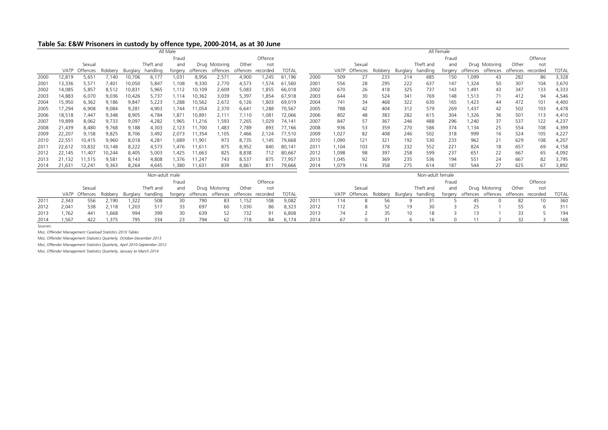#### **Table 5a: E&W Prisoners in custody by offence type, 2000-2014, as at 30 June**

| All Female<br>All Male |             |               |         |          |                |             |        |                   |                |                   |              |      |             |               |         |          |                  |         |          |                   |                   |         |              |
|------------------------|-------------|---------------|---------|----------|----------------|-------------|--------|-------------------|----------------|-------------------|--------------|------|-------------|---------------|---------|----------|------------------|---------|----------|-------------------|-------------------|---------|--------------|
|                        |             |               |         |          |                | Fraud       |        |                   |                | Offence           |              |      |             |               |         |          |                  | Fraud   |          |                   |                   | Offence |              |
|                        |             | Sexual        |         |          | Theft and      | and         |        | Drug Motoring     | Other          | not               |              |      |             | Sexual        |         |          | Theft and        | and     |          | Drug Motoring     | Other             | not     |              |
|                        | <b>VATP</b> | Offences      | Robbery | Burglary | handling       | forgery     |        | offences offences |                | offences recorded | <b>TOTAL</b> |      | <b>VATP</b> | Offences      | Robbery | Burglary | handling         | forgery | offences | offences          | offences recorded |         | <b>TOTAL</b> |
| 2000                   | 12,819      | 5,651         | 7,140   | 10,706   | 6,177          | 1,031       | 8,956  | 2,571             | 4,900          | 1,245             | 61,196       | 2000 | 509         | 27            | 233     | 214      | 685              | 150     | 1,099    | 43                | 282               | 86      | 3,328        |
| 2001                   | 13,336      | 5,571         | 7,401   | 10,050   | 5,847          | 1,108       | 9,330  | 2,770             | 4,573          | 1,574             | 61,560       | 2001 | 556         | 28            | 295     | 222      | 637              | 147     | 1,324    | 50                | 307               | 104     | 3,670        |
| 2002                   | 14,085      | 5,857         | 8,512   | 10,831   | 5,965          | 1,112       | 10,109 | 2,609             | 5,083          | 1,855             | 66,018       | 2002 | 670         | 26            | 418     | 325      | 737              | 143     | 1.491    | 43                | 347               | 133     | 4,333        |
| 2003                   | 14,883      | 6,070         | 9,036   | 10,426   | 5,737          | 1,114       | 10,362 | 3,039             | 5,397          | 1,854             | 67,918       | 2003 | 644         | 30            | 524     | 341      | 769              | 148     | 1,513    | 71                | 412               | 94      | 4,546        |
| 2004                   | 15,950      | 6,362         | 9,186   | 9,847    | 5,223          | ,288        | 10,562 | 2,672             | 6,126          | 1,803             | 69,019       | 2004 | 741         | 34            | 468     | 322      | 630              | 165     | 1,423    | 44                | 472               | 101     | 4,400        |
| 2005                   | 17,294      | 6,908         | 9,084   | 9,281    | 4,903          | 1,744       | 11,054 | 2,370             | $6,64^{\circ}$ | 1,288             | 70,567       | 2005 | 788         | 42            | 404     | 312      | 579              | 269     | 1.437    | 42                | 502               | 103     | 4,478        |
| 2006                   | 18,518      | 7,447         | 9,348   | 8,905    | 4,784          | 1,871       | 10,891 | 2,11'             | 7,110          | 1,081             | 72,066       | 2006 | 802         | 48            | 383     | 282      | 615              | 304     | 1,326    | 36                | 501               | 113     | 4,410        |
| 2007                   | 19,899      | 8,062         | 9,733   | 9,097    | 4,282          | 1,965       | 11,216 | 1,593             | 7,265          | 1,029             | 74,141       | 2007 | 847         | 57            | 367     | 246      | 488              | 296     | 1,240    | 37                | 537               | 122     | 4,237        |
| 2008                   | 21,439      | 8,480         | 9,768   | 9,188    | 4,303          | 2,123       | 11,700 | 1,483             | 7,789          | 893               | 77,166       | 2008 | 936         | 53            | 359     | 270      | 586              | 374     | 1.134    | 25                | 554               | 108     | 4,399        |
| 2009                   | 22,207      | 9,158         | 9,825   | 8,706    | 3,492          | 2,073       | 11,354 | 1,105             | 7,466          | 2,124             | 77,510       | 2009 | 1,027       | 82            | 408     | 246      | 502              | 318     | 999      | 16                | 524               | 105     | 4,227        |
| 2010                   | 22,551      | 10,415        | 9,960   | 8,018    | 4,281          | <b>689,</b> | 11,901 | 973               | 8,735          | 1,145             | 79,668       | 2010 | 1,090       | 121           | 321     | 192      | 530              | 233     | 962      | 21                | 629               | 108     | 4,207        |
| 2011                   | 22,612      | 10,832        | 10,148  | 8,222    | 4,573          | ,476        | 11,61' | 875               | 8,952          | 840               | 80,141       | 2011 | 1,104       | 103           | 378     | 232      | 552              | 221     | 824      | 18                | 657               | 69      | 4,158        |
| 2012                   | 22,145      | 11.407        | 10,244  | 8,405    | 5,003          | ,425        | 11,663 | 825               | 8,838          | 712               | 80,667       | 2012 | 1,098       | 98            | 397     | 258      | 599              | 237     | 651      | 22                | 667               | 65      | 4,092        |
| 2013                   | 21,132      | 11,515        | 9,581   | 8,143    | 4,808          | 1,376       | 11,247 | 743               | 8,537          | 875               | 77,957       | 2013 | 1,045       | 92            | 369     | 235      | 536              | 194     | 551      | 24                | 667               | 82      | 3,795        |
| 2014                   | 21,631      | 12,241        | 9,363   | 8,264    | 4,645          | ,380        | 11,631 | 839               | 8,861          | 811               | 79,666       | 2014 | 1,079       | 116           | 358     | 275      | 614              | 187     | 544      | 27                | 625               | 67      | 3,892        |
|                        |             |               |         |          | Non-adult male |             |        |                   |                |                   |              |      |             |               |         |          | Non-adult female |         |          |                   |                   |         |              |
|                        |             |               |         |          |                | Fraud       |        |                   |                | Offence           |              |      |             |               |         |          |                  | Fraud   |          |                   |                   | Offence |              |
|                        |             | Sexual        |         |          | Theft and      | and         |        | Drug Motoring     | Other          | not               |              |      |             | Sexual        |         |          | Theft and        | and     |          | Drug Motoring     | Other             | not     |              |
|                        |             | VATP Offences | Robbery | Burglary | handling       | forgery     |        | offences offences |                | offences recorded | <b>TOTAL</b> |      |             | VATP Offences | Robbery | Burglary | handling         | forgery |          | offences offences | offences recorded |         | <b>TOTAL</b> |
| 201                    | 2,343       | 556           | 2,190   | ,322     | 508            | 30          | 790    | 83                | .152           | 108               | 9,082        | 2011 | 114         | 8             | 56      | 9        | 31               |         | 45       |                   | 82                | 10      | 360          |
| 2012                   | 2,041       | 538           | 2,118   | ,203     | 517            | 33          | 697    | 60                | 1,030          | 86                | 8,323        | 2012 | 112         | 8             | 52      | 19       | 30               |         | 25       |                   | 55                | 6       | 311          |

2013 1,762 441 1,668 994 399 30 639 52 732 91 6,808 2013 74 2 35 10 18 3 13 1 33 5 194 2014 1,567 422 1,375 795 334 23 794 62 718 84 6,174 2014 67 0 31 6 16 0 11 2 32 3 168

Sources:

MoJ, *Offender Management Caseload Statistics 2010 Tables*

MoJ, *Offender Management Statistics Quarterly, October-December 2013*

MoJ, *Offender Management Statistics Quarterly, April 2010-September 2012*

MoJ, *Offender Management Statistics Quarterly, January to March 2014*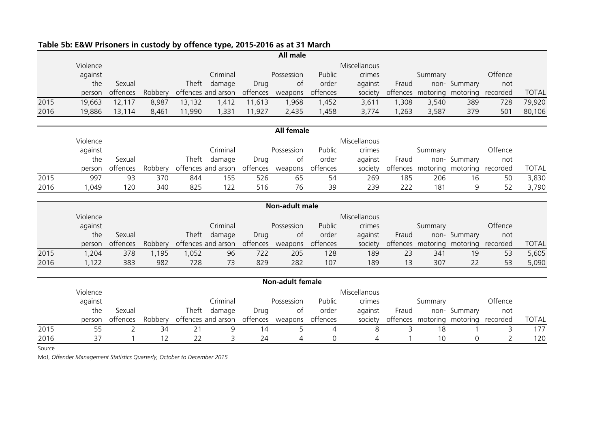|        |          |                |         |                                     |                             |        | All male                            |          |              |       |         |                                     |         |              |
|--------|----------|----------------|---------|-------------------------------------|-----------------------------|--------|-------------------------------------|----------|--------------|-------|---------|-------------------------------------|---------|--------------|
|        | Violence |                |         |                                     |                             |        |                                     |          | Miscellanous |       |         |                                     |         |              |
|        | against  |                |         |                                     | Criminal                    |        | Possession                          | Public   | crimes       |       | Summary |                                     | Offence |              |
|        | the      | Sexual         |         |                                     | Theft damage                | Drug   | of                                  | order    | against      | Fraud |         | non- Summary                        | not     |              |
|        | person   | offences       | Robbery |                                     | offences and arson offences |        | weapons                             | offences | society      |       |         | offences motoring motoring recorded |         | <b>TOTAL</b> |
| 2015   | 19,663   | 12,117         | 8,987   | 13,132                              | 1,412                       | 11,613 | 1,968                               | 1,452    | 3,611        | 1,308 | 3,540   | 389                                 | 728     | 79,920       |
| 2016   | 19,886   | 13,114         | 8,461   | 11,990                              | 1,331                       | 11,927 | 2,435                               | 1,458    | 3,774        | 1,263 | 3,587   | 379                                 | 501     | 80,106       |
|        |          |                |         |                                     |                             |        | <b>All female</b>                   |          |              |       |         |                                     |         |              |
|        | Violence |                |         |                                     |                             |        |                                     |          | Miscellanous |       |         |                                     |         |              |
|        | against  |                |         |                                     | Criminal                    |        | Possession                          | Public   | crimes       |       | Summary |                                     | Offence |              |
|        | the      | Sexual         |         |                                     | Theft damage                | Drug   | of                                  | order    | against      | Fraud |         | non- Summary                        | not     |              |
|        | person   | offences       |         | Robbery offences and arson offences |                             |        | weapons                             | offences | society      |       |         | offences motoring motoring recorded |         | <b>TOTAL</b> |
| 2015   | 997      | 93             | 370     | 844                                 | 155                         | 526    | 65                                  | 54       | 269          | 185   | 206     | 16                                  | 50      | 3,830        |
| 2016   | 1,049    | 120            | 340     | 825                                 | 122                         | 516    | 76                                  | 39       | 239          | 222   | 181     | 9                                   | 52      | 3,790        |
|        |          |                |         |                                     |                             |        |                                     |          |              |       |         |                                     |         |              |
|        |          |                |         |                                     |                             |        | <b>Non-adult male</b>               |          |              |       |         |                                     |         |              |
|        | Violence |                |         |                                     |                             |        |                                     |          | Miscellanous |       |         |                                     |         |              |
|        | against  |                |         |                                     | Criminal                    |        | Possession                          | Public   | crimes       |       | Summary |                                     | Offence |              |
|        | the      | Sexual         |         |                                     | Theft damage                | Drug   | of                                  | order    | against      | Fraud |         | non- Summary                        | not     |              |
|        | person   | offences       | Robbery |                                     |                             |        | offences and arson offences weapons | offences | society      |       |         | offences motoring motoring recorded |         | <b>TOTAL</b> |
| 2015   | 1,204    | 378            | 1,195   | 1,052                               | 96                          | 722    | 205                                 | 128      | 189          | 23    | 341     | 19                                  | 53      | 5,605        |
| 2016   | 1,122    | 383            | 982     | 728                                 | 73                          | 829    | 282                                 | 107      | 189          | 13    | 307     | 22                                  | 53      | 5,090        |
|        |          |                |         |                                     |                             |        | <b>Non-adult female</b>             |          |              |       |         |                                     |         |              |
|        | Violence |                |         |                                     |                             |        |                                     |          | Miscellanous |       |         |                                     |         |              |
|        | against  |                |         |                                     | Criminal                    |        | Possession                          | Public   | crimes       |       | Summary |                                     | Offence |              |
|        | the      | Sexual         |         | Theft                               | damage                      | Drug   | of                                  | order    | against      | Fraud |         | non- Summary                        | not     |              |
|        | person   | offences       |         | Robbery offences and arson offences |                             |        | weapons                             | offences | society      |       |         | offences motoring motoring recorded |         | <b>TOTAL</b> |
| 2015   | 55       | $\overline{2}$ | 34      | 21                                  | 9                           | 14     | 5                                   | 4        | 8            | 3     | 18      |                                     | 3       | 177          |
| 2016   | 37       |                | 12      | 22                                  | 3                           | 24     | 4                                   | 0        | 4            |       | 10      | 0                                   | 2       | 120          |
| Source |          |                |         |                                     |                             |        |                                     |          |              |       |         |                                     |         |              |

### **Table 5b: E&W Prisoners in custody by offence type, 2015-2016 as at 31 March**

MoJ, *Offender Management Statistics Quarterly, October to December 2015*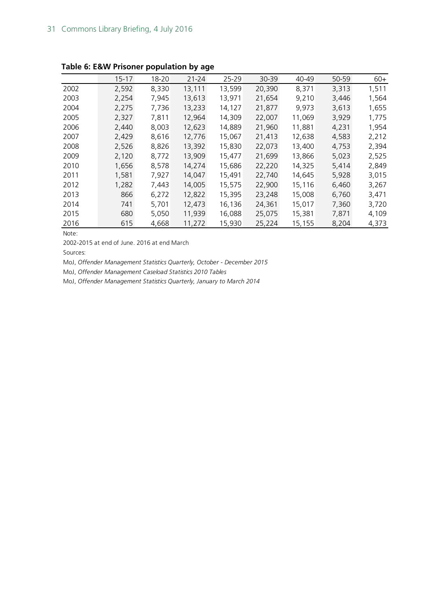|      | $15 - 17$ | 18-20 | $21 - 24$ | 25-29  | 30-39  | 40-49  | 50-59 | $60+$ |
|------|-----------|-------|-----------|--------|--------|--------|-------|-------|
| 2002 | 2,592     | 8,330 | 13,111    | 13,599 | 20,390 | 8,371  | 3,313 | 1,511 |
| 2003 | 2,254     | 7,945 | 13,613    | 13,971 | 21,654 | 9,210  | 3,446 | 1,564 |
| 2004 | 2,275     | 7,736 | 13,233    | 14,127 | 21,877 | 9,973  | 3,613 | 1,655 |
| 2005 | 2,327     | 7,811 | 12,964    | 14,309 | 22,007 | 11,069 | 3,929 | 1,775 |
| 2006 | 2,440     | 8,003 | 12,623    | 14,889 | 21,960 | 11,881 | 4,231 | 1,954 |
| 2007 | 2,429     | 8,616 | 12,776    | 15,067 | 21,413 | 12,638 | 4,583 | 2,212 |
| 2008 | 2,526     | 8,826 | 13,392    | 15,830 | 22,073 | 13,400 | 4,753 | 2,394 |
| 2009 | 2,120     | 8,772 | 13,909    | 15,477 | 21,699 | 13,866 | 5,023 | 2,525 |
| 2010 | 1,656     | 8,578 | 14,274    | 15,686 | 22,220 | 14,325 | 5,414 | 2,849 |
| 2011 | 1,581     | 7,927 | 14,047    | 15,491 | 22,740 | 14,645 | 5,928 | 3,015 |
| 2012 | 1,282     | 7,443 | 14,005    | 15,575 | 22,900 | 15,116 | 6,460 | 3,267 |
| 2013 | 866       | 6,272 | 12,822    | 15,395 | 23,248 | 15,008 | 6,760 | 3,471 |
| 2014 | 741       | 5,701 | 12,473    | 16,136 | 24,361 | 15,017 | 7,360 | 3,720 |
| 2015 | 680       | 5,050 | 11,939    | 16,088 | 25,075 | 15,381 | 7,871 | 4,109 |
| 2016 | 615       | 4,668 | 11,272    | 15,930 | 25,224 | 15,155 | 8,204 | 4,373 |

**Table 6: E&W Prisoner population by age**

Note:

2002-2015 at end of June. 2016 at end March

Sources:

MoJ, *Offender Management Statistics Quarterly, October - December 2015*

MoJ, *Offender Management Caseload Statistics 2010 Tables*

MoJ, *Offender Management Statistics Quarterly, January to March 2014*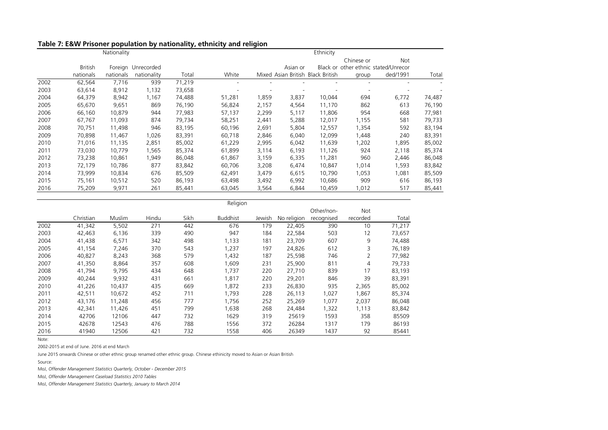|      |                | Nationality |             |        |                |       |          | Ethnicity                         |                                      |          |        |
|------|----------------|-------------|-------------|--------|----------------|-------|----------|-----------------------------------|--------------------------------------|----------|--------|
|      |                |             |             |        |                |       |          |                                   | Chinese or                           | Not      |        |
|      | <b>British</b> | Foreign     | Unrecorded  |        |                |       | Asian or |                                   | Black or other ethnic stated/Unrecor |          |        |
|      | nationals      | nationals   | nationality | Total  | White          |       |          | Mixed Asian British Black British | group                                | ded/1991 | Total  |
| 2002 | 62,564         | 7,716       | 939         | 71,219 | $\blacksquare$ |       |          |                                   |                                      |          |        |
| 2003 | 63,614         | 8,912       | 1,132       | 73,658 |                |       |          |                                   |                                      |          |        |
| 2004 | 64,379         | 8,942       | 1,167       | 74,488 | 51,281         | 1,859 | 3,837    | 10,044                            | 694                                  | 6,772    | 74,487 |
| 2005 | 65,670         | 9,651       | 869         | 76,190 | 56,824         | 2,157 | 4,564    | 11,170                            | 862                                  | 613      | 76,190 |
| 2006 | 66,160         | 10,879      | 944         | 77,983 | 57,137         | 2,299 | 5,117    | 11,806                            | 954                                  | 668      | 77,981 |
| 2007 | 67,767         | 11,093      | 874         | 79,734 | 58,251         | 2,441 | 5,288    | 12,017                            | 1,155                                | 581      | 79,733 |
| 2008 | 70,751         | 11,498      | 946         | 83,195 | 60,196         | 2,691 | 5,804    | 12,557                            | 1,354                                | 592      | 83,194 |
| 2009 | 70,898         | 11,467      | 1,026       | 83,391 | 60,718         | 2,846 | 6,040    | 12,099                            | 1,448                                | 240      | 83,391 |
| 2010 | 71,016         | 11,135      | 2,851       | 85,002 | 61,229         | 2,995 | 6,042    | 11,639                            | 1,202                                | 1,895    | 85,002 |
| 2011 | 73,030         | 10,779      | 565, ا      | 85,374 | 61,899         | 3,114 | 6,193    | 11,126                            | 924                                  | 2,118    | 85,374 |
| 2012 | 73,238         | 10,861      | 949.        | 86,048 | 61,867         | 3,159 | 6,335    | 11,281                            | 960                                  | 2,446    | 86,048 |
| 2013 | 72,179         | 10,786      | 877         | 83,842 | 60,706         | 3,208 | 6,474    | 10,847                            | 1,014                                | 1,593    | 83,842 |
| 2014 | 73,999         | 10,834      | 676         | 85,509 | 62,491         | 3,479 | 6,615    | 10,790                            | 1,053                                | 1,081    | 85,509 |
| 2015 | 75,161         | 10,512      | 520         | 86,193 | 63,498         | 3,492 | 6,992    | 10,686                            | 909                                  | 616      | 86,193 |
| 2016 | 75,209         | 9,971       | 261         | 85,441 | 63,045         | 3,564 | 6,844    | 10,459                            | 1,012                                | 517      | 85,441 |

#### **Table 7: E&W Prisoner population by nationality, ethnicity and religion**

|      |           |        |       |      | Religion        |        |             |            |          |        |
|------|-----------|--------|-------|------|-----------------|--------|-------------|------------|----------|--------|
|      |           |        |       |      |                 |        |             | Other/non- | Not      |        |
|      | Christian | Muslim | Hindu | Sikh | <b>Buddhist</b> | Jewish | No religion | recognised | recorded | Total  |
| 2002 | 41,342    | 5,502  | 271   | 442  | 676             | 179    | 22,405      | 390        | 10       | 71,217 |
| 2003 | 42,463    | 6,136  | 339   | 490  | 947             | 184    | 22,584      | 503        | 12       | 73,657 |
| 2004 | 41,438    | 6,571  | 342   | 498  | 1,133           | 181    | 23,709      | 607        | 9        | 74,488 |
| 2005 | 41,154    | 7,246  | 370   | 543  | 1,237           | 197    | 24,826      | 612        | 3        | 76,189 |
| 2006 | 40,827    | 8,243  | 368   | 579  | 1,432           | 187    | 25,598      | 746        | 2        | 77,982 |
| 2007 | 41,350    | 8,864  | 357   | 608  | 1,609           | 231    | 25,900      | 811        | 4        | 79,733 |
| 2008 | 41,794    | 9,795  | 434   | 648  | 1,737           | 220    | 27,710      | 839        | 17       | 83,193 |
| 2009 | 40,244    | 9,932  | 431   | 661  | 1,817           | 220    | 29,201      | 846        | 39       | 83,391 |
| 2010 | 41,226    | 10,437 | 435   | 669  | 1,872           | 233    | 26,830      | 935        | 2,365    | 85,002 |
| 2011 | 42,511    | 10,672 | 452   | 711  | 1,793           | 228    | 26,113      | 1,027      | 1,867    | 85,374 |
| 2012 | 43,176    | 11,248 | 456   | 777  | 1,756           | 252    | 25,269      | 1,077      | 2,037    | 86,048 |
| 2013 | 42,341    | 11.426 | 451   | 799  | 1,638           | 268    | 24,484      | 1,322      | 1,113    | 83,842 |
| 2014 | 42706     | 12106  | 447   | 732  | 1629            | 319    | 25619       | 1593       | 358      | 85509  |
| 2015 | 42678     | 12543  | 476   | 788  | 1556            | 372    | 26284       | 1317       | 179      | 86193  |
| 2016 | 41940     | 12506  | 421   | 732  | 1558            | 406    | 26349       | 1437       | 92       | 85441  |

Note:

2002-2015 at end of June. 2016 at end March

June 2015 onwards Chinese or other ethnic group renamed other ethnic group. Chinese ethinicity moved to Asian or Asian British

Source:

MoJ, *Offender Management Statistics Quarterly, October - December 2015*

MoJ, *Offender Management Caseload Statistics 2010 Tables*

MoJ, *Offender Management Statistics Quarterly, January to March 2014*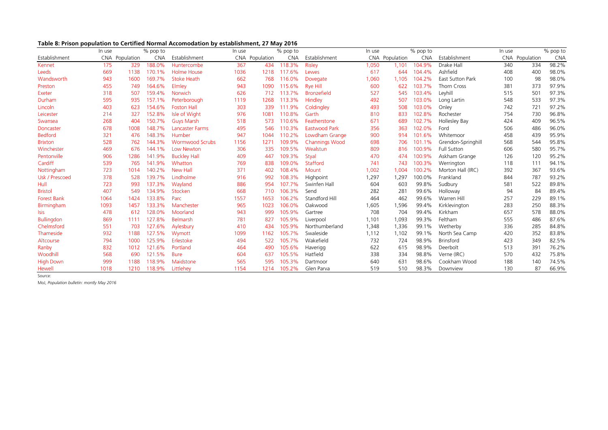| Table 8: Prison population to Certified Normal Accomodation by establishment, 27 May 2016 |  |
|-------------------------------------------------------------------------------------------|--|
|                                                                                           |  |

|                    | In use |                | % pop to   |                        | In use |                | % pop to   |                       | In use |                | % pop to   |                    | In use |                | % pop to   |
|--------------------|--------|----------------|------------|------------------------|--------|----------------|------------|-----------------------|--------|----------------|------------|--------------------|--------|----------------|------------|
| Establishment      |        | CNA Population | <b>CNA</b> | Establishment          |        | CNA Population | <b>CNA</b> | Establishment         |        | CNA Population | <b>CNA</b> | Establishment      |        | CNA Population | <b>CNA</b> |
| Kennet             | 175    | 329            | 188.0%     | Huntercombe            | 367    | 434            | 118.3%     | Risley                | 1,050  | 1,101          | 104.9%     | Drake Hall         | 340    | 334            | 98.2%      |
| Leeds              | 669    | 1138           | 170.1%     | <b>Holme House</b>     | 1036   | 1218           | 117.6%     | Lewes                 | 617    | 644            | 104.4%     | Ashfield           | 408    | 400            | 98.0%      |
| Wandsworth         | 943    | 1600           | 169.7%     | <b>Stoke Heath</b>     | 662    | 768            | 116.0%     | Dovegate              | 1,060  | 1,105          | 104.2%     | East Sutton Park   | 100    | 98             | 98.0%      |
| Preston            | 455    | 749            | 164.6%     | Elmley                 | 943    | 1090           | 115.6%     | <b>Rye Hill</b>       | 600    | 622            | 103.7%     | Thorn Cross        | 381    | 373            | 97.9%      |
| Exeter             | 318    | 507            | 159.4%     | Norwich                | 626    | 712            | 113.7%     | <b>Bronzefield</b>    | 527    | 545            | 103.4%     | Leyhill            | 515    | 501            | 97.3%      |
| Durham             | 595    | 935            | 157.1%     | Peterborough           | 1119   | 1268           | 113.3%     | Hindley               | 492    | 507            | 103.0%     | Long Lartin        | 548    | 533            | 97.3%      |
| Lincoln            | 403    | 623            | 154.6%     | <b>Foston Hall</b>     | 303    | 339            | 111.9%     | Coldingley            | 493    | 508            | 103.0%     | Onley              | 742    | 721            | 97.2%      |
| Leicester          | 214    | 327            | 152.8%     | Isle of Wight          | 976    | 1081           | 110.8%     | Garth                 | 810    | 833            | 102.8%     | Rochester          | 754    | 730            | 96.8%      |
| Swansea            | 268    | 404            | 150.7%     | <b>Guys Marsh</b>      | 518    | 573            | 110.6%     | Featherstone          | 671    | 689            | 102.7%     | Hollesley Bay      | 424    | 409            | 96.5%      |
| Doncaster          | 678    | 1008           | 148.7%     | <b>Lancaster Farms</b> | 495    | 546            | 10.3%      | <b>Eastwood Park</b>  | 356    | 363            | 102.0%     | Ford               | 506    | 486            | 96.0%      |
| <b>Bedford</b>     | 321    | 476            | 148.3%     | Humber                 | 947    | 1044           | 110.2%     | Lowdham Grange        | 900    | 914            | 101.6%     | Whitemoor          | 458    | 439            | 95.9%      |
| <b>Brixton</b>     | 528    | 762            | 144.3%     | <b>Wormwood Scrubs</b> | 1156   | 1271           | 109.9%     | <b>Channings Wood</b> | 698    | 706            | 101.1%     | Grendon-Springhill | 568    | 544            | 95.8%      |
| Winchester         | 469    | 676            | 144.1%     | Low Newton             | 306    | 335            | 109.5%     | Wealstun              | 809    | 816            | 100.9%     | <b>Full Sutton</b> | 606    | 580            | 95.7%      |
| Pentonville        | 906    | 1286           | 141.9%     | <b>Buckley Hall</b>    | 409    | 447            | 109.3%     | Styal                 | 470    | 474            | 100.9%     | Askham Grange      | 126    | 120            | 95.2%      |
| Cardiff            | 539    | 765            | 141.9%     | Whatton                | 769    | 838            | 109.0%     | Stafford              | 741    | 743            | 100.3%     | Werrington         | 118    | 111            | 94.1%      |
| Nottingham         | 723    | 1014           | 140.2%     | New Hall               | 371    | 402            | 108.4%     | Mount                 | 1,002  | 1.004          | 100.2%     | Morton Hall (IRC)  | 392    | 367            | 93.6%      |
| Usk / Prescoed     | 378    | 528            | 139.7%     | Lindholme              | 916    | 992            | 108.3%     | Highpoint             | 1,297  | 1.297          | 100.0%     | Frankland          | 844    | 787            | 93.2%      |
| Hull               | 723    | 993            | 137.3%     | Wayland                | 886    | 954            | 107.7%     | Swinfen Hall          | 604    | 603            | 99.8%      | Sudbury            | 581    | 522            | 89.8%      |
| <b>Bristol</b>     | 407    | 549            | 134.9%     | Stocken                | 668    | 710            | 106.3%     | Send                  | 282    | 281            | 99.6%      | Holloway           | 94     | 84             | 89.4%      |
| <b>Forest Bank</b> | 1064   | 1424           | 133.8%     | Parc                   | 1557   | 1653           | 106.2%     | Standford Hill        | 464    | 462            | 99.6%      | Warren Hill        | 257    | 229            | 89.1%      |
| Birmingham         | 1093   | 1457           | 133.3%     | Manchester             | 965    | 1023           | 106.0%     | Oakwood               | 1,605  | 1,596          | 99.4%      | Kirklevington      | 283    | 250            | 88.3%      |
| Isis               | 478    | 612            | 128.0%     | Moorland               | 943    | 999            | 105.9%     | Gartree               | 708    | 704            | 99.4%      | Kirkham            | 657    | 578            | 88.0%      |
| <b>Bullingdon</b>  | 869    | 1111           | 127.8%     | Belmarsh               | 781    | 827            | 105.9%     | Liverpool             | 1,101  | 1,093          | 99.3%      | Feltham            | 555    | 486            | 87.6%      |
| Chelmsford         | 551    | 703            | 127.6%     | Aylesbury              | 410    | 434            | 105.9%     | Northumberland        | 1,348  | 1,336          | 99.1%      | Wetherby           | 336    | 285            | 84.8%      |
| Thameside          | 932    | 1188           | 127.5%     | Wymott                 | 1099   | 1162           | 105.7%     | Swaleside             | 1,112  | 1,102          | 99.1%      | North Sea Camp     | 420    | 352            | 83.8%      |
| Altcourse          | 794    | 1000           | 125.9%     | Erlestoke              | 494    | 522            | 105.7%     | Wakefield             | 732    | 724            | 98.9%      | <b>Brinsford</b>   | 423    | 349            | 82.5%      |
| Ranby              | 832    | 1012           | 121.6%     | Portland               | 464    | 490            | 105.6%     | Haverigg              | 622    | 615            | 98.9%      | Deerbolt           | 513    | 391            | 76.2%      |
| Woodhill           | 568    | 690            | 121.5%     | <b>Bure</b>            | 604    | 637            | 105.5%     | Hatfield              | 338    | 334            | 98.8%      | Verne (IRC)        | 570    | 432            | 75.8%      |
| <b>High Down</b>   | 999    | 1188           | 118.9%     | Maidstone              | 565    | 595            | 105.3%     | Dartmoor              | 640    | 631            | 98.6%      | Cookham Wood       | 188    | 140            | 74.5%      |
| Hewell             | 1018   | 1210           | 118.9%     | Littlehev              | 1154   | 1214           | 105.2%     | Glen Parva            | 519    | 510            | 98.3%      | Downview           | 130    | 87             | 66.9%      |

Source:

MoJ, *Population bulletin: montly May 2016*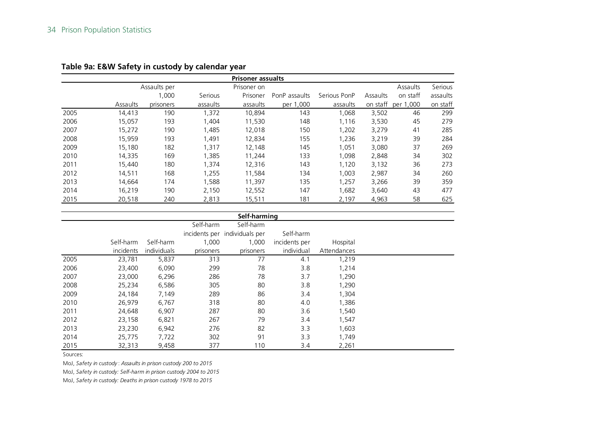|      |          |              |          | <b>Prisoner assualts</b> |               |              |          |           |          |
|------|----------|--------------|----------|--------------------------|---------------|--------------|----------|-----------|----------|
|      |          | Assaults per |          | Prisoner on              |               |              |          | Assaults  | Serious  |
|      |          | 1,000        | Serious  | Prisoner                 | PonP assaults | Serious PonP | Assaults | on staff  | assaults |
|      | Assaults | prisoners    | assaults | assaults                 | per 1,000     | assaults     | on staff | per 1,000 | on staff |
| 2005 | 14,413   | 190          | 1,372    | 10,894                   | 143           | 1,068        | 3,502    | 46        | 299      |
| 2006 | 15,057   | 193          | 1,404    | 11,530                   | 148           | 1.116        | 3,530    | 45        | 279      |
| 2007 | 15,272   | 190          | 1,485    | 12,018                   | 150           | 1,202        | 3,279    | 41        | 285      |
| 2008 | 15,959   | 193          | 1,491    | 12,834                   | 155           | 1,236        | 3,219    | 39        | 284      |
| 2009 | 15,180   | 182          | 1,317    | 12,148                   | 145           | 1,051        | 3,080    | 37        | 269      |
| 2010 | 14,335   | 169          | 1.385    | 11,244                   | 133           | 1.098        | 2,848    | 34        | 302      |
| 2011 | 15,440   | 180          | 1,374    | 12,316                   | 143           | 1,120        | 3,132    | 36        | 273      |
| 2012 | 14,511   | 168          | 1,255    | 11,584                   | 134           | 1,003        | 2,987    | 34        | 260      |
| 2013 | 14.664   | 174          | 1,588    | 11,397                   | 135           | 1,257        | 3,266    | 39        | 359      |
| 2014 | 16,219   | 190          | 2,150    | 12,552                   | 147           | 1,682        | 3,640    | 43        | 477      |
| 2015 | 20,518   | 240          | 2,813    | 15,511                   | 181           | 2,197        | 4,963    | 58        | 625      |

#### **Table 9a: E&W Safety in custody by calendar year**

|      | Self-harming |             |           |                               |               |             |  |  |  |  |  |  |  |
|------|--------------|-------------|-----------|-------------------------------|---------------|-------------|--|--|--|--|--|--|--|
|      |              |             | Self-harm | Self-harm                     |               |             |  |  |  |  |  |  |  |
|      |              |             |           | incidents per individuals per | Self-harm     |             |  |  |  |  |  |  |  |
|      | Self-harm    | Self-harm   | 1,000     | 1,000                         | incidents per | Hospital    |  |  |  |  |  |  |  |
|      | incidents    | individuals | prisoners | prisoners                     | individual    | Attendances |  |  |  |  |  |  |  |
| 2005 | 23,781       | 5,837       | 313       | 77                            | 4.1           | 1,219       |  |  |  |  |  |  |  |
| 2006 | 23,400       | 6,090       | 299       | 78                            | 3.8           | 1,214       |  |  |  |  |  |  |  |
| 2007 | 23,000       | 6,296       | 286       | 78                            | 3.7           | 1,290       |  |  |  |  |  |  |  |
| 2008 | 25,234       | 6,586       | 305       | 80                            | 3.8           | 1,290       |  |  |  |  |  |  |  |
| 2009 | 24,184       | 7,149       | 289       | 86                            | 3.4           | 1,304       |  |  |  |  |  |  |  |
| 2010 | 26,979       | 6,767       | 318       | 80                            | 4.0           | 1,386       |  |  |  |  |  |  |  |
| 2011 | 24,648       | 6,907       | 287       | 80                            | 3.6           | 1,540       |  |  |  |  |  |  |  |
| 2012 | 23,158       | 6,821       | 267       | 79                            | 3.4           | 1,547       |  |  |  |  |  |  |  |
| 2013 | 23,230       | 6,942       | 276       | 82                            | 3.3           | 1,603       |  |  |  |  |  |  |  |
| 2014 | 25,775       | 7,722       | 302       | 91                            | 3.3           | 1,749       |  |  |  |  |  |  |  |
| 2015 | 32,313       | 9,458       | 377       | 110                           | 3.4           | 2,261       |  |  |  |  |  |  |  |

Sources:

MoJ, *Safety in custody* : *Assaults in prison custody 200 to 2015*

MoJ, *Safety in custody: Self-harm in prison custody 2004 to 2015*

MoJ, *Safety in custody: Deaths in prison custody 1978 to 2015*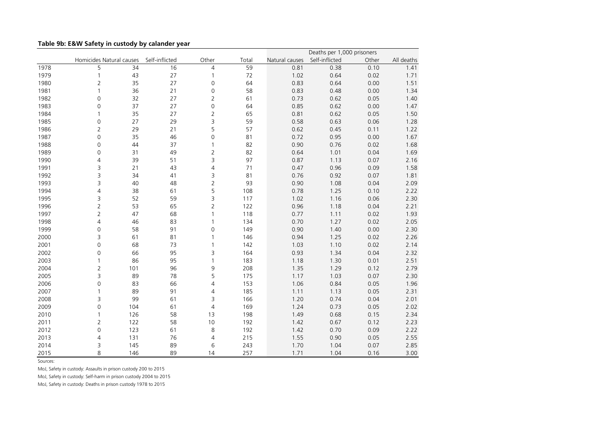| Table 9b: E&W Safety in custody by calander year |  |  |  |  |
|--------------------------------------------------|--|--|--|--|
|--------------------------------------------------|--|--|--|--|

|      | Homicides Natural causes |     |                |                          |       |                | Deaths per 1,000 prisoners |       |            |
|------|--------------------------|-----|----------------|--------------------------|-------|----------------|----------------------------|-------|------------|
|      |                          |     | Self-inflicted | Other                    | Total | Natural causes | Self-inflicted             | Other | All deaths |
| 1978 | 5                        | 34  | 16             | $\overline{4}$           | 59    | 0.81           | 0.38                       | 0.10  | 1.41       |
| 1979 | $\mathbf{1}$             | 43  | 27             | 1                        | 72    | 1.02           | 0.64                       | 0.02  | 1.71       |
| 1980 | $\overline{2}$           | 35  | 27             | $\mathsf{O}\xspace$      | 64    | 0.83           | 0.64                       | 0.00  | 1.51       |
| 1981 | $\mathbf{1}$             | 36  | 21             | 0                        | 58    | 0.83           | 0.48                       | 0.00  | 1.34       |
| 1982 | 0                        | 32  | 27             | $\overline{2}$           | 61    | 0.73           | 0.62                       | 0.05  | 1.40       |
| 1983 | 0                        | 37  | 27             | 0                        | 64    | 0.85           | 0.62                       | 0.00  | 1.47       |
| 1984 | 1                        | 35  | 27             | $\overline{2}$           | 65    | 0.81           | 0.62                       | 0.05  | 1.50       |
| 1985 | 0                        | 27  | 29             | 3                        | 59    | 0.58           | 0.63                       | 0.06  | 1.28       |
| 1986 | $\overline{2}$           | 29  | 21             | 5                        | 57    | 0.62           | 0.45                       | 0.11  | 1.22       |
| 1987 | 0                        | 35  | 46             | $\mathbf 0$              | 81    | 0.72           | 0.95                       | 0.00  | 1.67       |
| 1988 | 0                        | 44  | 37             | $\mathbf{1}$             | 82    | 0.90           | 0.76                       | 0.02  | 1.68       |
| 1989 | 0                        | 31  | 49             | 2                        | 82    | 0.64           | 1.01                       | 0.04  | 1.69       |
| 1990 | $\overline{4}$           | 39  | 51             | 3                        | 97    | 0.87           | 1.13                       | 0.07  | 2.16       |
| 1991 | 3                        | 21  | 43             | 4                        | 71    | 0.47           | 0.96                       | 0.09  | 1.58       |
| 1992 | 3                        | 34  | 41             | 3                        | 81    | 0.76           | 0.92                       | 0.07  | 1.81       |
| 1993 | 3                        | 40  | 48             | $\overline{2}$           | 93    | 0.90           | 1.08                       | 0.04  | 2.09       |
| 1994 | 4                        | 38  | 61             | 5                        | 108   | 0.78           | 1.25                       | 0.10  | 2.22       |
| 1995 | 3                        | 52  | 59             | 3                        | 117   | 1.02           | 1.16                       | 0.06  | 2.30       |
| 1996 | $\overline{2}$           | 53  | 65             | $\overline{2}$           | 122   | 0.96           | 1.18                       | 0.04  | 2.21       |
| 1997 | $\overline{2}$           | 47  | 68             | 1                        | 118   | 0.77           | 1.11                       | 0.02  | 1.93       |
| 1998 | 4                        | 46  | 83             | $\mathbf{1}$             | 134   | 0.70           | 1.27                       | 0.02  | 2.05       |
| 1999 | 0                        | 58  | 91             | 0                        | 149   | 0.90           | 1.40                       | 0.00  | 2.30       |
| 2000 | 3                        | 61  | 81             | $\mathbf{1}$             | 146   | 0.94           | 1.25                       | 0.02  | 2.26       |
| 2001 | 0                        | 68  | 73             | $\mathbf{1}$             | 142   | 1.03           | 1.10                       | 0.02  | 2.14       |
| 2002 | 0                        | 66  | 95             | 3                        | 164   | 0.93           | 1.34                       | 0.04  | 2.32       |
| 2003 | 1                        | 86  | 95             | 1                        | 183   | 1.18           | 1.30                       | 0.01  | 2.51       |
| 2004 | $\overline{2}$           | 101 | 96             | 9                        | 208   | 1.35           | 1.29                       | 0.12  | 2.79       |
| 2005 | 3                        | 89  | 78             | 5                        | 175   | 1.17           | 1.03                       | 0.07  | 2.30       |
| 2006 | $\mathbf 0$              | 83  | 66             | $\overline{\mathcal{L}}$ | 153   | 1.06           | 0.84                       | 0.05  | 1.96       |
| 2007 | 1                        | 89  | 91             | 4                        | 185   | 1.11           | 1.13                       | 0.05  | 2.31       |
| 2008 | 3                        | 99  | 61             | 3                        | 166   | 1.20           | 0.74                       | 0.04  | 2.01       |
| 2009 | 0                        | 104 | 61             | $\sqrt{4}$               | 169   | 1.24           | 0.73                       | 0.05  | 2.02       |
| 2010 | $\mathbf{1}$             | 126 | 58             | 13                       | 198   | 1.49           | 0.68                       | 0.15  | 2.34       |
| 2011 | $\overline{2}$           | 122 | 58             | 10                       | 192   | 1.42           | 0.67                       | 0.12  | 2.23       |
| 2012 | 0                        | 123 | 61             | 8                        | 192   | 1.42           | 0.70                       | 0.09  | 2.22       |
| 2013 | 4                        | 131 | 76             | 4                        | 215   | 1.55           | 0.90                       | 0.05  | 2.55       |
| 2014 | 3                        | 145 | 89             | 6                        | 243   | 1.70           | 1.04                       | 0.07  | 2.85       |
| 2015 | 8                        | 146 | 89             | 14                       | 257   | 1.71           | 1.04                       | 0.16  | 3.00       |

Sources:

MoJ, Safety in custody: Assaults in prison custody 200 to 2015

MoJ, Safety in custody: Self-harm in prison custody 2004 to 2015

MoJ, Safety in custody: Deaths in prison custody 1978 to 2015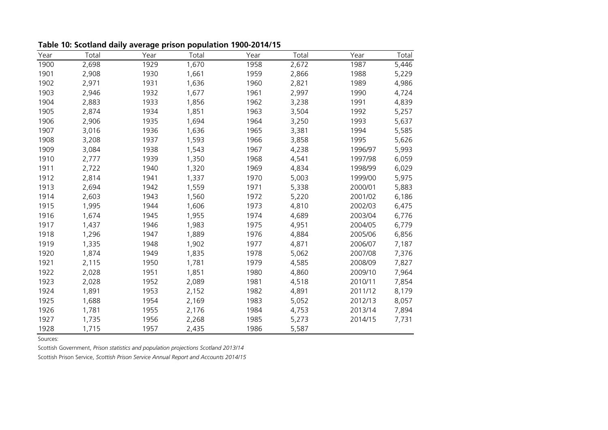| Year | Total | Year | Total | Year | Total | Year    | Total |
|------|-------|------|-------|------|-------|---------|-------|
| 1900 | 2,698 | 1929 | 1,670 | 1958 | 2,672 | 1987    | 5,446 |
| 1901 | 2,908 | 1930 | 1,661 | 1959 | 2,866 | 1988    | 5,229 |
| 1902 | 2,971 | 1931 | 1,636 | 1960 | 2,821 | 1989    | 4,986 |
| 1903 | 2,946 | 1932 | 1,677 | 1961 | 2,997 | 1990    | 4,724 |
| 1904 | 2,883 | 1933 | 1,856 | 1962 | 3,238 | 1991    | 4,839 |
| 1905 | 2,874 | 1934 | 1,851 | 1963 | 3,504 | 1992    | 5,257 |
| 1906 | 2,906 | 1935 | 1,694 | 1964 | 3,250 | 1993    | 5,637 |
| 1907 | 3,016 | 1936 | 1,636 | 1965 | 3,381 | 1994    | 5,585 |
| 1908 | 3,208 | 1937 | 1,593 | 1966 | 3,858 | 1995    | 5,626 |
| 1909 | 3,084 | 1938 | 1,543 | 1967 | 4,238 | 1996/97 | 5,993 |
| 1910 | 2,777 | 1939 | 1,350 | 1968 | 4,541 | 1997/98 | 6,059 |
| 1911 | 2,722 | 1940 | 1,320 | 1969 | 4,834 | 1998/99 | 6,029 |
| 1912 | 2,814 | 1941 | 1,337 | 1970 | 5,003 | 1999/00 | 5,975 |
| 1913 | 2,694 | 1942 | 1,559 | 1971 | 5,338 | 2000/01 | 5,883 |
| 1914 | 2,603 | 1943 | 1,560 | 1972 | 5,220 | 2001/02 | 6,186 |
| 1915 | 1,995 | 1944 | 1,606 | 1973 | 4,810 | 2002/03 | 6,475 |
| 1916 | 1,674 | 1945 | 1,955 | 1974 | 4,689 | 2003/04 | 6,776 |
| 1917 | 1,437 | 1946 | 1,983 | 1975 | 4,951 | 2004/05 | 6,779 |
| 1918 | 1,296 | 1947 | 1,889 | 1976 | 4,884 | 2005/06 | 6,856 |
| 1919 | 1,335 | 1948 | 1,902 | 1977 | 4,871 | 2006/07 | 7,187 |
| 1920 | 1,874 | 1949 | 1,835 | 1978 | 5,062 | 2007/08 | 7,376 |
| 1921 | 2,115 | 1950 | 1,781 | 1979 | 4,585 | 2008/09 | 7,827 |
| 1922 | 2,028 | 1951 | 1,851 | 1980 | 4,860 | 2009/10 | 7,964 |
| 1923 | 2,028 | 1952 | 2,089 | 1981 | 4,518 | 2010/11 | 7,854 |
| 1924 | 1,891 | 1953 | 2,152 | 1982 | 4,891 | 2011/12 | 8,179 |
| 1925 | 1,688 | 1954 | 2,169 | 1983 | 5,052 | 2012/13 | 8,057 |
| 1926 | 1,781 | 1955 | 2,176 | 1984 | 4,753 | 2013/14 | 7,894 |
| 1927 | 1,735 | 1956 | 2,268 | 1985 | 5,273 | 2014/15 | 7,731 |
| 1928 | 1,715 | 1957 | 2,435 | 1986 | 5,587 |         |       |

**Table 10: Scotland daily average prison population 1900-2014/15**

Sources:

Scottish Government, *Prison statistics and population projections Scotland 2013/14*

Scottish Prison Service, *Scottish Prison Service Annual Report and Accounts 2014/15*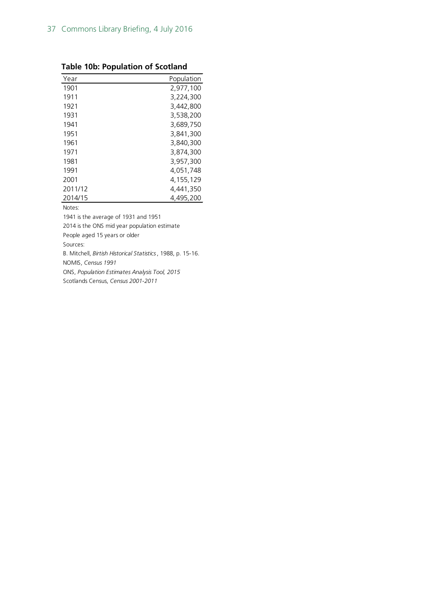|  |  | <b>Table 10b: Population of Scotland</b> |
|--|--|------------------------------------------|
|--|--|------------------------------------------|

| Year    | Population  |
|---------|-------------|
| 1901    | 2,977,100   |
| 1911    | 3,224,300   |
| 1921    | 3,442,800   |
| 1931    | 3,538,200   |
| 1941    | 3,689,750   |
| 1951    | 3.841.300   |
| 1961    | 3,840,300   |
| 1971    | 3,874,300   |
| 1981    | 3.957.300   |
| 1991    | 4,051,748   |
| 2001    | 4, 155, 129 |
| 2011/12 | 4,441,350   |
| 2014/15 | 4.495.200   |

Notes:

1941 is the average of 1931 and 1951

2014 is the ONS mid year population estimate

People aged 15 years or older

Sources:

B. Mitchell, *Birtish Historical Statistics*, 1988, p. 15-16. NOMIS, *Census 1991*

ONS, *Population Estimates Analysis Tool, 2015*

Scotlands Census, *Census 2001-2011*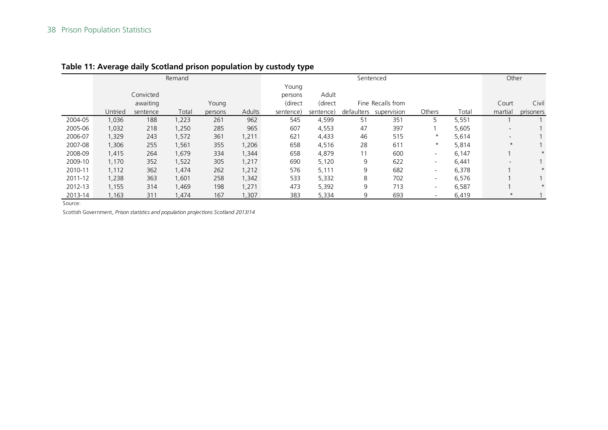|         |         |           | Remand |         |        | Sentenced |           |            |                   |                          | Other |                          |           |
|---------|---------|-----------|--------|---------|--------|-----------|-----------|------------|-------------------|--------------------------|-------|--------------------------|-----------|
|         |         |           |        |         |        | Young     |           |            |                   |                          |       |                          |           |
|         |         | Convicted |        |         |        | persons   | Adult     |            |                   |                          |       |                          |           |
|         |         | awaiting  |        | Young   |        | (direct   | (direct   |            | Fine Recalls from |                          |       | Court                    | Civil     |
|         | Untried | sentence  | Total  | persons | Adults | sentence) | sentence) | defaulters | supervision       | Others                   | Total | martial                  | prisoners |
| 2004-05 | 1,036   | 188       | 1,223  | 261     | 962    | 545       | 4,599     | 51         | 351               | 5                        | 5,551 |                          |           |
| 2005-06 | 1,032   | 218       | 1,250  | 285     | 965    | 607       | 4,553     | 47         | 397               |                          | 5,605 | $\overline{\phantom{0}}$ |           |
| 2006-07 | 1,329   | 243       | 1,572  | 361     | 1,211  | 621       | 4,433     | 46         | 515               | $\star$                  | 5,614 | $\overline{\phantom{0}}$ |           |
| 2007-08 | 1,306   | 255       | 1,561  | 355     | 1,206  | 658       | 4,516     | 28         | 611               | $^\star$                 | 5,814 | $^\star$                 |           |
| 2008-09 | 1,415   | 264       | 1,679  | 334     | 1,344  | 658       | 4,879     | 11         | 600               | $\overline{\phantom{a}}$ | 6,147 |                          | $\star$   |
| 2009-10 | 1,170   | 352       | 1,522  | 305     | 1,217  | 690       | 5,120     | 9          | 622               | $\overline{\phantom{a}}$ | 6,441 | $\overline{\phantom{0}}$ |           |
| 2010-11 | 1,112   | 362       | 1,474  | 262     | 1,212  | 576       | 5,111     | 9          | 682               | $\overline{\phantom{a}}$ | 6,378 |                          | $\star$   |
| 2011-12 | 1,238   | 363       | 1,601  | 258     | 1,342  | 533       | 5,332     | 8          | 702               | $\overline{\phantom{a}}$ | 6,576 |                          |           |
| 2012-13 | 1,155   | 314       | 1,469  | 198     | 1,271  | 473       | 5,392     | 9          | 713               | $\overline{\phantom{a}}$ | 6,587 |                          | $\star$   |
| 2013-14 | 1,163   | 311       | ,474   | 167     | 1,307  | 383       | 5,334     | 9          | 693               | $\overline{\phantom{a}}$ | 6,419 | $^\star$                 |           |

### **Table 11: Average daily Scotland prison population by custody type**

Source:

Scottish Government, *Prison statistics and population projections Scotland 2013/14*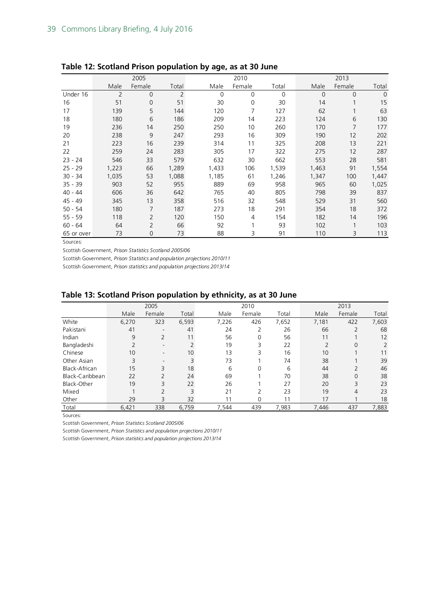|            | 2005           |                |       |          | 2010   |          |             | 2013           |                |  |
|------------|----------------|----------------|-------|----------|--------|----------|-------------|----------------|----------------|--|
|            | Male           | Female         | Total | Male     | Female | Total    | Male        | Female         | Total          |  |
| Under 16   | $\overline{2}$ | $\overline{0}$ | 2     | $\Omega$ | 0      | $\Omega$ | $\mathbf 0$ | $\overline{0}$ | $\overline{0}$ |  |
| 16         | 51             | $\mathbf 0$    | 51    | 30       | 0      | 30       | 14          |                | 15             |  |
| 17         | 139            | 5              | 144   | 120      | 7      | 127      | 62          |                | 63             |  |
| 18         | 180            | 6              | 186   | 209      | 14     | 223      | 124         | 6              | 130            |  |
| 19         | 236            | 14             | 250   | 250      | 10     | 260      | 170         | 7              | 177            |  |
| 20         | 238            | 9              | 247   | 293      | 16     | 309      | 190         | 12             | 202            |  |
| 21         | 223            | 16             | 239   | 314      | 11     | 325      | 208         | 13             | 221            |  |
| 22         | 259            | 24             | 283   | 305      | 17     | 322      | 275         | 12             | 287            |  |
| $23 - 24$  | 546            | 33             | 579   | 632      | 30     | 662      | 553         | 28             | 581            |  |
| $25 - 29$  | 1,223          | 66             | 1,289 | 1,433    | 106    | 1,539    | 1,463       | 91             | 1,554          |  |
| $30 - 34$  | 1,035          | 53             | 1,088 | 1,185    | 61     | 1,246    | 1,347       | 100            | 1,447          |  |
| $35 - 39$  | 903            | 52             | 955   | 889      | 69     | 958      | 965         | 60             | 1,025          |  |
| $40 - 44$  | 606            | 36             | 642   | 765      | 40     | 805      | 798         | 39             | 837            |  |
| 45 - 49    | 345            | 13             | 358   | 516      | 32     | 548      | 529         | 31             | 560            |  |
| $50 - 54$  | 180            | 7              | 187   | 273      | 18     | 291      | 354         | 18             | 372            |  |
| $55 - 59$  | 118            | $\overline{2}$ | 120   | 150      | 4      | 154      | 182         | 14             | 196            |  |
| $60 - 64$  | 64             | $\overline{2}$ | 66    | 92       |        | 93       | 102         |                | 103            |  |
| 65 or over | 73             | 0              | 73    | 88       | 3      | 91       | 110         | 3              | 113            |  |

#### **Table 12: Scotland Prison population by age, as at 30 June**

Sources:

Scottish Government, *Prison Statistics Scotland 2005/06*

Scottish Government, *Prison Statistics and population projections 2010/11*

Scottish Government, *Prison statistics and population projections 2013/14*

#### **Table 13: Scotland Prison population by ethnicity, as at 30 June**

|                 |                | 2005                     |               |       | 2010     |       |                | 2013     |       |
|-----------------|----------------|--------------------------|---------------|-------|----------|-------|----------------|----------|-------|
|                 | Male           | Female                   | Total         | Male  | Female   | Total | Male           | Female   | Total |
| White           | 6,270          | 323                      | 6,593         | 7,226 | 426      | 7,652 | 7,181          | 422      | 7,603 |
| Pakistani       | 41             |                          | 41            | 24    | っ        | 26    | 66             | っ        | 68    |
| Indian          | 9              | $\overline{2}$           | 11            | 56    | $\Omega$ | 56    | 11             |          | 12    |
| Bangladeshi     | $\overline{2}$ | $\overline{\phantom{a}}$ |               | 19    | 3        | 22    | $\overline{2}$ | $\Omega$ | 2     |
| Chinese         | 10             | $\overline{\phantom{a}}$ | 10            | 13    | 3        | 16    | 10             |          | 11    |
| Other Asian     | 3              | $\overline{\phantom{a}}$ | 3             | 73    |          | 74    | 38             |          | 39    |
| Black-African   | 15             | 3                        | 18            | 6     | $\Omega$ | 6     | 44             | 2        | 46    |
| Black-Caribbean | 22             | $\overline{\phantom{0}}$ | 24            | 69    |          | 70    | 38             | $\Omega$ | 38    |
| Black-Other     | 19             | 3                        | 22            | 26    |          | 27    | 20             | 3        | 23    |
| Mixed           |                | $\mathcal{D}$            | $\mathcal{R}$ | 21    | 2        | 23    | 19             | 4        | 23    |
| Other           | 29             | 3                        | 32            | 11    | 0        | 11    | 17             |          | 18    |
| Total           | 6,421          | 338                      | 6,759         | 7,544 | 439      | 7,983 | 7,446          | 437      | 7,883 |

Sources:

Scottish Government, *Prison Statistics Scotland 2005/06*

Scottish Government, *Prison Statistics and population projections 2010/11*

Scottish Government, *Prison statistics and population projections 2013/14*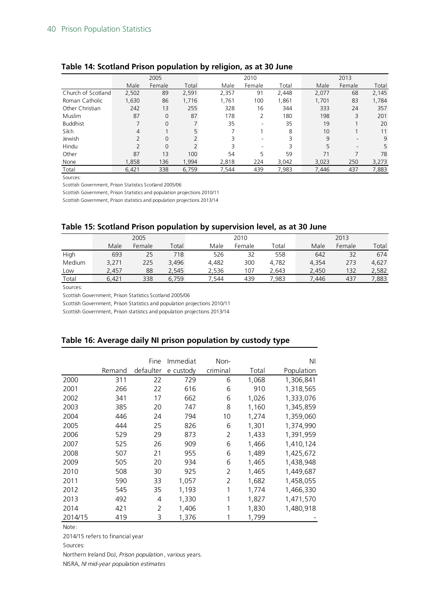|                    |       | 2005           |       |       | 2010   |       |       | 2013                     |       |
|--------------------|-------|----------------|-------|-------|--------|-------|-------|--------------------------|-------|
|                    | Male  | Female         | Total | Male  | Female | Total | Male  | Female                   | Total |
| Church of Scotland | 2,502 | 89             | 2,591 | 2,357 | 91     | 2,448 | 2,077 | 68                       | 2,145 |
| Roman Catholic     | 1,630 | 86             | 1,716 | 1,761 | 100    | 1,861 | 1,701 | 83                       | 1,784 |
| Other Christian    | 242   | 13             | 255   | 328   | 16     | 344   | 333   | 24                       | 357   |
| Muslim             | 87    | $\mathbf 0$    | 87    | 178   | 2      | 180   | 198   | 3                        | 201   |
| <b>Buddhist</b>    |       | $\overline{0}$ |       | 35    |        | 35    | 19    |                          | 20    |
| Sikh               | 4     |                |       |       |        | 8     | 10    |                          | 11    |
| Jewish             |       | $\overline{0}$ |       |       | ۰      | 3     | 9     | $\overline{\phantom{a}}$ | 9     |
| Hindu              |       | $\overline{0}$ |       |       |        | 3     | 5     |                          | 5     |
| Other              | 87    | 13             | 100   | 54    | 5      | 59    | 71    |                          | 78    |
| None               | 1,858 | 136            | 1,994 | 2,818 | 224    | 3,042 | 3,023 | 250                      | 3,273 |
| Total              | 6,421 | 338            | 6.759 | 7,544 | 439    | 7,983 | 7.446 | 437                      | 7,883 |

#### **Table 14: Scotland Prison population by religion, as at 30 June**

Sources:

Scottish Government, Prison Statistics Scotland 2005/06

Scottish Government, Prison Statistics and population projections 2010/11

Scottish Government, Prison statistics and population projections 2013/14

#### **Table 15: Scotland Prison population by supervision level, as at 30 June**

|        | 2005  |        |       |       | 2010   |       |       | 2013   |       |  |
|--------|-------|--------|-------|-------|--------|-------|-------|--------|-------|--|
|        | Male  | Female | Total | Male  | Female | Total | Male  | Female | Total |  |
| High   | 693   | 25     | 718   | 526   | 32     | 558   | 642   | 32     | 674   |  |
| Medium | 3,271 | 225    | 3,496 | 4.482 | 300    | 4,782 | 4.354 | 273    | 4,627 |  |
| Low    | 2,457 | 88     | 2,545 | 2.536 | 107    | 2,643 | 2,450 | 132    | 2,582 |  |
| Total  | 6.421 | 338    | 6.759 | 7.544 | 439    | 7.983 | 7.446 | 437    | 7,883 |  |
| $\sim$ |       |        |       |       |        |       |       |        |       |  |

Sources:

Scottish Government, Prison Statistics Scotland 2005/06

Scottish Government, Prison Statistics and population projections 2010/11

Scottish Government, Prison statistics and population projections 2013/14

#### **Table 16: Average daily NI prison population by custody type**

|         |        | Fine      | Immediat  | Non-           |       | ΝI         |
|---------|--------|-----------|-----------|----------------|-------|------------|
|         | Remand | defaulter | e custody | criminal       | Total | Population |
| 2000    | 311    | 22        | 729       | 6              | 1,068 | 1,306,841  |
| 2001    | 266    | 22        | 616       | 6              | 910   | 1,318,565  |
| 2002    | 341    | 17        | 662       | 6              | 1,026 | 1,333,076  |
| 2003    | 385    | 20        | 747       | 8              | 1,160 | 1,345,859  |
| 2004    | 446    | 24        | 794       | 10             | 1,274 | 1,359,060  |
| 2005    | 444    | 25        | 826       | 6              | 1,301 | 1,374,990  |
| 2006    | 529    | 29        | 873       | 2              | 1,433 | 1,391,959  |
| 2007    | 525    | 26        | 909       | 6              | 1,466 | 1,410,124  |
| 2008    | 507    | 21        | 955       | 6              | 1,489 | 1,425,672  |
| 2009    | 505    | 20        | 934       | 6              | 1,465 | 1,438,948  |
| 2010    | 508    | 30        | 925       | 2              | 1,465 | 1,449,687  |
| 2011    | 590    | 33        | 1,057     | $\mathfrak{D}$ | 1,682 | 1,458,055  |
| 2012    | 545    | 35        | 1,193     | 1              | 1,774 | 1,466,330  |
| 2013    | 492    | 4         | 1,330     | 1              | 1,827 | 1,471,570  |
| 2014    | 421    | 2         | 1,406     | 1              | 1,830 | 1,480,918  |
| 2014/15 | 419    | 3         | 1,376     | 1              | 1,799 |            |

Note:

2014/15 refers to financial year

Sources:

Northern Ireland DoJ, *Prison population* , various years.

NISRA, *NI mid-year population estimates*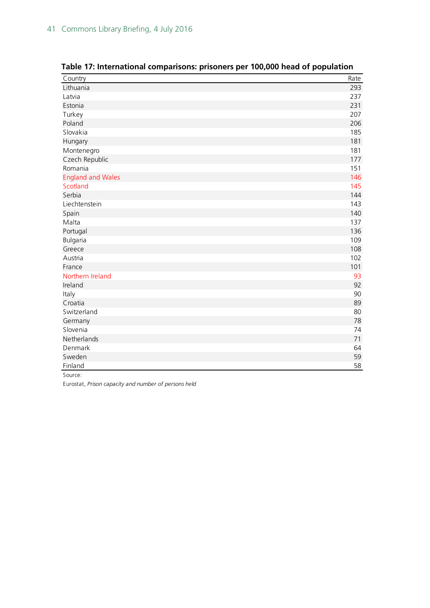| Country                  | Rate |
|--------------------------|------|
| Lithuania                | 293  |
| Latvia                   | 237  |
| Estonia                  | 231  |
| Turkey                   | 207  |
| Poland                   | 206  |
| Slovakia                 | 185  |
| Hungary                  | 181  |
| Montenegro               | 181  |
| Czech Republic           | 177  |
| Romania                  | 151  |
| <b>England and Wales</b> | 146  |
| Scotland                 | 145  |
| Serbia                   | 144  |
| Liechtenstein            | 143  |
| Spain                    | 140  |
| Malta                    | 137  |
| Portugal                 | 136  |
| Bulgaria                 | 109  |
| Greece                   | 108  |
| Austria                  | 102  |
| France                   | 101  |
| Northern Ireland         | 93   |
| Ireland                  | 92   |
| Italy                    | 90   |
| Croatia                  | 89   |
| Switzerland              | 80   |
| Germany                  | 78   |
| Slovenia                 | 74   |
| Netherlands              | 71   |
| Denmark                  | 64   |
| Sweden                   | 59   |
| Finland                  | 58   |

**Table 17: International comparisons: prisoners per 100,000 head of population**

Source:

Eurostat, *Prison capacity and number of persons held*